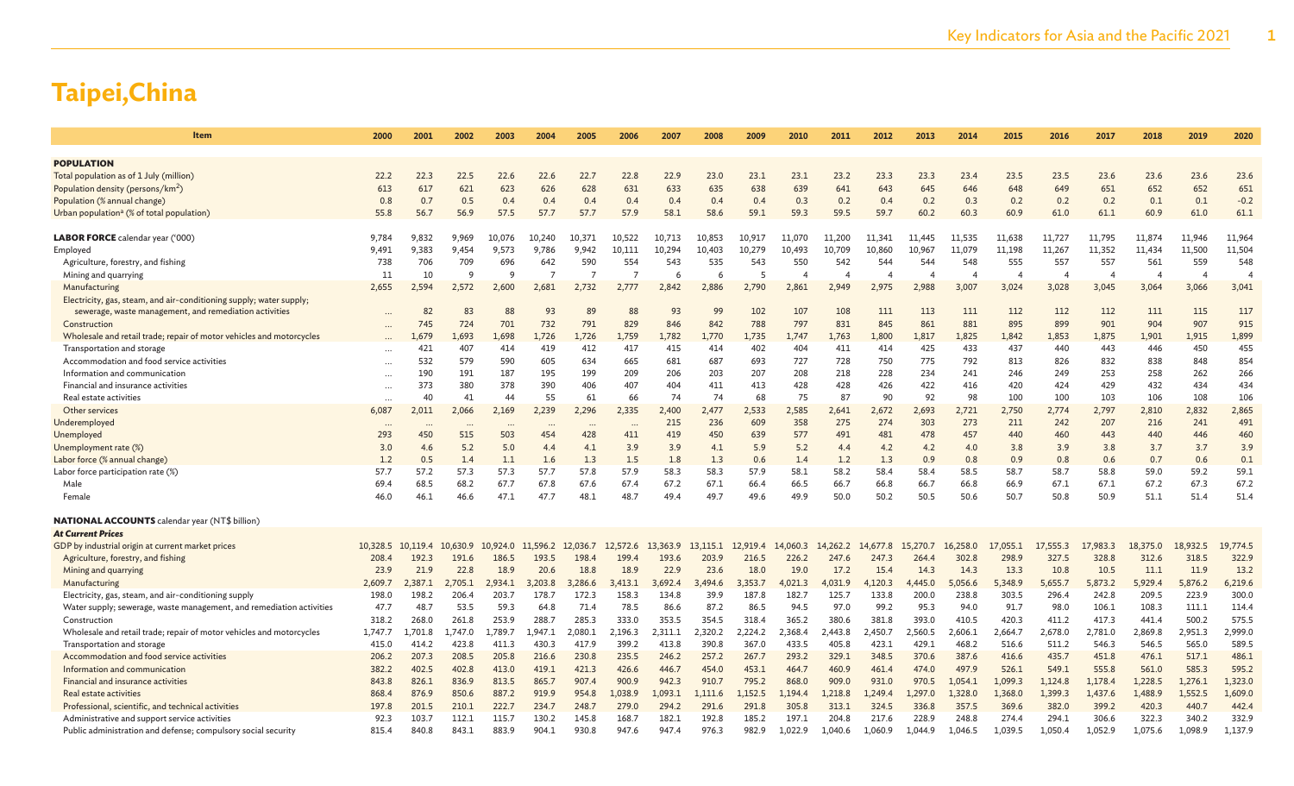| Item                                                                 | 2000                     | 2001     | 2002     | 2003     | 2004           | 2005           | 2006     | 2007     | 2008     | 2009     | 2010           | 2011     | 2012                  | 2013           | 2014                  | 2015     | 2016     | 2017                     | 2018           | 2019     | 2020                     |
|----------------------------------------------------------------------|--------------------------|----------|----------|----------|----------------|----------------|----------|----------|----------|----------|----------------|----------|-----------------------|----------------|-----------------------|----------|----------|--------------------------|----------------|----------|--------------------------|
|                                                                      |                          |          |          |          |                |                |          |          |          |          |                |          |                       |                |                       |          |          |                          |                |          |                          |
| <b>POPULATION</b>                                                    |                          |          |          |          |                |                |          |          |          |          |                |          |                       |                |                       |          |          |                          |                |          |                          |
| Total population as of 1 July (million)                              | 22.2                     | 22.3     | 22.5     | 22.6     | 22.6           | 22.7           | 22.8     | 22.9     | 23.0     | 23.1     | 23.1           | 23.2     | 23.3                  | 23.3           | 23.4                  | 23.5     | 23.5     | 23.6                     | 23.6           | 23.6     | 23.6                     |
| Population density (persons/km <sup>2</sup> )                        | 613                      | 617      | 621      | 623      | 626            | 628            | 631      | 633      | 635      | 638      | 639            | 641      | 643                   | 645            | 646                   | 648      | 649      | 651                      | 652            | 652      | 651                      |
| Population (% annual change)                                         | 0.8                      | 0.7      | 0.5      | 0.4      | 0.4            | 0.4            | 0.4      | 0.4      | 0.4      | 0.4      | 0.3            | 0.2      | 0.4                   | 0.2            | 0.3                   | 0.2      | 0.2      | 0.2                      | 0.1            | 0.1      | $-0.2$                   |
| Urban population <sup>a</sup> (% of total population)                | 55.8                     | 56.7     | 56.9     | 57.5     | 57.7           | 57.7           | 57.9     | 58.1     | 58.6     | 59.1     | 59.3           | 59.5     | 59.7                  | 60.2           | 60.3                  | 60.9     | 61.0     | 61.1                     | 60.9           | 61.0     | 61.1                     |
|                                                                      |                          |          |          |          |                |                |          |          |          |          |                |          |                       |                |                       |          |          |                          |                |          |                          |
| LABOR FORCE calendar year ('000)                                     | 9,784                    | 9,832    | 9,969    | 10,076   | 10,240         | 10,371         | 10,522   | 10,713   | 10,853   | 10,917   | 11,070         | 11,200   | 11,341                | 11,445         | 11,535                | 11,638   | 11,727   | 11,795                   | 11,874         | 11,946   | 11,964                   |
| Employed                                                             | 9,491                    | 9,383    | 9,454    | 9,573    | 9,786          | 9,942          | 10,111   | 10,294   | 10,403   | 10,279   | 10,493         | 10,709   | 10,860                | 10,967         | 11,079                | 11,198   | 11,267   | 11,352                   | 11,434         | 11,500   | 11,504                   |
| Agriculture, forestry, and fishing                                   | 738                      | 706      | 709      | 696      | 642            | 590            | 554      | 543      | 535      | 543      | 550            | 542      | 544                   | 544            | 548                   | 555      | 557      | 557                      | 561            | 559      | 548                      |
| Mining and quarrying                                                 | 11                       | 10       | 9        | $\Omega$ | $\overline{7}$ | $\overline{7}$ | -7       | 6        |          | 5        | $\overline{A}$ |          | $\boldsymbol{\Delta}$ | $\overline{4}$ | $\boldsymbol{\Delta}$ | $\angle$ |          | $\overline{\phantom{a}}$ | $\overline{4}$ | $\angle$ | $\overline{\phantom{a}}$ |
| Manufacturing                                                        | 2,655                    | 2,594    | 2,572    | 2,600    | 2,681          | 2,732          | 2,777    | 2,842    | 2,886    | 2,790    | 2,861          | 2.949    | 2,975                 | 2,988          | 3,007                 | 3,024    | 3,028    | 3,045                    | 3,064          | 3,066    | 3,041                    |
| Electricity, gas, steam, and air-conditioning supply; water supply;  |                          |          |          |          |                |                |          |          |          |          |                |          |                       |                |                       |          |          |                          |                |          |                          |
| sewerage, waste management, and remediation activities               |                          | 82       | 83       | 88       | 93             | 89             | 88       | 93       | 99       | 102      | 107            | 108      | 111                   | 113            | 111                   | 112      | 112      | 112                      | 111            | 115      | 117                      |
| Construction                                                         |                          | 745      | 724      | 701      | 732            | 791            | 829      | 846      | 842      | 788      | 797            | 831      | 845                   | 861            | 881                   | 895      | 899      | 901                      | 904            | 907      | 915                      |
| Wholesale and retail trade; repair of motor vehicles and motorcycles |                          | 1.679    | 1,693    | 1,698    | 1,726          | 1,726          | 1,759    | 1,782    | 1,770    | 1,735    | 1,747          | 1,763    | 1,800                 | 1,817          | 1,825                 | 1,842    | 1,853    | 1,875                    | 1,901          | 1,915    | 1,899                    |
| Transportation and storage                                           | $\cdots$                 | 421      | 407      | 414      | 419            | 412            | 417      | 415      | 414      | 402      | 404            | 411      | 414                   | 425            | 433                   | 437      | 440      | 443                      | 446            | 450      | 455                      |
| Accommodation and food service activities                            | $\cdots$                 | 532      | 579      | 590      | 605            | 634            | 665      | 681      | 687      | 693      | 727            | 728      | 750                   | 775            | 792                   | 813      | 826      | 832                      | 838            | 848      | 854                      |
| Information and communication                                        | $\cdots$                 | 190      | 191      | 187      | 195            | 199            | 209      | 206      | 203      | 207      | 208            | 218      | 228                   | 234            | 241                   | 246      | 249      | 253                      | 258            | 262      | 266                      |
| Financial and insurance activities                                   |                          | 373      | 380      | 378      | 390            | 406            | 407      | 404      | 411      | 413      | 428            | 428      | 426                   | 422            | 416                   | 420      | 424      | 429                      | 432            | 434      | 434                      |
| Real estate activities                                               | $\cdots$                 | 40       | 41       | 44       | 55             | 61             | 66       | 74       | 74       | 68       | 75             | 87       | 90                    | 92             | 98                    | 100      | 100      | 103                      | 106            | 108      | 106                      |
| Other services                                                       | 6,087                    | 2,011    | 2,066    | 2,169    | 2,239          | 2,296          | 2,335    | 2,400    | 2,477    | 2,533    | 2,585          | 2,641    | 2,672                 | 2,693          | 2,721                 | 2,750    | 2,774    | 2,797                    | 2,810          | 2,832    | 2,865                    |
| Underemployed                                                        | $\overline{\phantom{a}}$ |          |          |          |                |                |          | 215      | 236      | 609      | 358            | 275      | 274                   | 303            | 273                   | 211      | 242      | 207                      | 216            | 241      | 491                      |
| Unemployed                                                           | 293                      | 450      | 515      | 503      | 454            | 428            | 411      | 419      | 450      | 639      | 577            | 491      | 481                   | 478            | 457                   | 440      | 460      | 443                      | 440            | 446      | 460                      |
| (%) Unemployment rate                                                | 3.0                      | 4.6      | 5.2      | 5.0      | 4.4            | 4.1            | 3.9      | 3.9      | 4.1      | 5.9      | 5.2            | 4.4      | 4.2                   | 4.2            | 4.0                   | 3.8      | 3.9      | 3.8                      | 3.7            | 3.7      | 3.9                      |
| Labor force (% annual change)                                        | 1.2                      | 0.5      | 1.4      | 1.1      | 1.6            | 1.3            | 1.5      | 1.8      | 1.3      | 0.6      | 1.4            | 1.2      | 1.3                   | 0.9            | 0.8                   | 0.9      | 0.8      | 0.6                      | 0.7            | 0.6      | 0.1                      |
| Labor force participation rate (%)                                   | 57.7                     | 57.2     | 57.3     | 57.3     | 57.7           | 57.8           | 57.9     | 58.3     | 58.3     | 57.9     | 58.1           | 58.2     | 58.4                  | 58.4           | 58.5                  | 58.7     | 58.7     | 58.8                     | 59.0           | 59.2     | 59.1                     |
| Male                                                                 | 69.4                     | 68.5     | 68.2     | 67.7     | 67.8           | 67.6           | 67.4     | 67.2     | 67.1     | 66.4     | 66.5           | 66.7     | 66.8                  | 66.7           | 66.8                  | 66.9     | 67.1     | 67.1                     | 67.2           | 67.3     | 67.2                     |
| Female                                                               | 46.0                     | 46.1     | 46.6     | 47.1     | 47.7           | 48.1           | 48.7     | 49.4     | 49.7     | 49.6     | 49.9           | 50.0     | 50.2                  | 50.5           | 50.6                  | 50.7     | 50.8     | 50.9                     | 51.1           | 51.4     | 51.4                     |
| <b>NATIONAL ACCOUNTS</b> calendar year (NT\$ billion)                |                          |          |          |          |                |                |          |          |          |          |                |          |                       |                |                       |          |          |                          |                |          |                          |
| <b>At Current Prices</b>                                             |                          |          |          |          |                |                |          |          |          |          |                |          |                       |                |                       |          |          |                          |                |          |                          |
| GDP by industrial origin at current market prices                    | 10,328.5                 | 10.119.4 | 10.630.9 | 10,924.0 | 11,596.2       | 12,036.7       | 12,572.6 | 13,363.9 | 13,115.1 | 12,919.4 | 14,060.3       | 14,262.2 | 14,677.8              | 15,270.7       | 16,258.0              | 17,055.1 | 17,555.3 | 17,983.3                 | 18,375.0       | 18,932.5 | 19,774.5                 |
| Agriculture, forestry, and fishing                                   | 208.4                    | 192.3    | 191.6    | 186.5    | 193.5          | 198.4          | 199.4    | 193.6    | 203.9    | 216.5    | 226.2          | 247.6    | 247.3                 | 264.4          | 302.8                 | 298.9    | 327.5    | 328.8                    | 312.6          | 318.5    | 322.9                    |
| Mining and quarrying                                                 | 23.9                     | 21.9     | 22.8     | 18.9     | 20.6           | 18.8           | 18.9     | 22.9     | 23.6     | 18.0     | 19.0           | 17.2     | 15.4                  | 14.3           | 14.3                  | 13.3     | 10.8     | 10.5                     | 11.1           | 11.9     | 13.2                     |
| Manufacturing                                                        | 2,609.7                  | 2,387.1  | 2,705.1  | 2,934.1  | 3,203.8        | 3,286.6        | 3,413.1  | 3,692.4  | 3,494.6  | 3,353.7  | 4,021.3        | 4,031.9  | 4,120.3               | 4,445.0        | 5,056.6               | 5,348.9  | 5,655.7  | 5,873.2                  | 5,929.4        | 5,876.2  | 6,219.6                  |
| Electricity, gas, steam, and air-conditioning supply                 | 198.0                    | 198.2    | 206.4    | 203.7    | 178.7          | 172.3          | 158.3    | 134.8    | 39.9     | 187.8    | 182.7          | 125.7    | 133.8                 | 200.0          | 238.8                 | 303.5    | 296.4    | 242.8                    | 209.5          | 223.9    | 300.0                    |
| Water supply; sewerage, waste management, and remediation activities | 47.7                     | 48.7     | 53.5     | 59.3     | 64.8           | 71.4           | 78.5     | 86.6     | 87.2     | 86.5     | 94.5           | 97.0     | 99.2                  | 95.3           | 94.0                  | 91.7     | 98.0     | 106.1                    | 108.3          | 111.1    | 114.4                    |
| Construction                                                         | 318.2                    | 268.0    | 261.8    | 253.9    | 288.7          | 285.3          | 333.0    | 353.5    | 354.5    | 318.4    | 365.2          | 380.6    | 381.8                 | 393.0          | 410.5                 | 420.3    | 411.2    | 417.3                    | 441.4          | 500.2    | 575.5                    |
| Wholesale and retail trade; repair of motor vehicles and motorcycles | 1,747.7                  | 1,701.8  | 1.747.0  | 1,789.7  | 1.947.1        | 2,080.1        | 2,196.3  | 2,311.1  | 2,320.2  | 2,224.2  | 2,368.4        | 2,443.8  | 2,450.7               | 2,560.5        | 2,606.1               | 2,664.7  | 2,678.0  | 2,781.0                  | 2,869.8        | 2,951.3  | 2,999.0                  |
| Transportation and storage                                           | 415.0                    | 414.2    | 423.8    | 411.3    | 430.3          | 417.9          | 399.2    | 413.8    | 390.8    | 367.0    | 433.5          | 405.8    | 423.1                 | 429.1          | 468.2                 | 516.6    | 511.2    | 546.3                    | 546.5          | 565.0    | 589.5                    |
| Accommodation and food service activities                            | 206.2                    | 207.3    | 208.5    | 205.8    | 216.6          | 230.8          | 235.5    | 246.2    | 257.2    | 267.7    | 293.2          | 329.1    | 348.5                 | 370.6          | 387.6                 | 416.6    | 435.7    | 451.8                    | 476.1          | 517.1    | 486.1                    |
| Information and communication                                        | 382.2                    | 402.5    | 402.8    | 413.0    | 419.1          | 421.3          | 426.6    | 446.7    | 454.0    | 453.1    | 464.7          | 460.9    | 461.4                 | 474.0          | 497.9                 | 526.1    | 549.1    | 555.8                    | 561.0          | 585.3    | 595.2                    |
| Financial and insurance activities                                   | 843.8                    | 826.1    | 836.9    | 813.5    | 865.7          | 907.4          | 900.9    | 942.3    | 910.7    | 795.2    | 868.0          | 909.0    | 931.0                 | 970.5          | 1,054.1               | 1,099.3  | 1,124.8  | 1,178.4                  | 1,228.5        | 1,276.1  | 1,323.0                  |
| Real estate activities                                               | 868.4                    | 876.9    | 850.6    | 887.2    | 919.9          | 954.8          | 1,038.9  | 1,093.1  | 1,111.6  | 1,152.5  | 1,194.4        | 1,218.8  | 1,249.4               | 1,297.0        | 1,328.0               | 1,368.0  | 1,399.3  | 1,437.6                  | 1,488.9        | 1,552.5  | 1,609.0                  |
| Professional, scientific, and technical activities                   | 197.8                    | 201.5    | 210.1    | 222.7    | 234.7          | 248.7          | 279.0    | 294.2    | 291.6    | 291.8    | 305.8          | 313.1    | 324.5                 | 336.8          | 357.5                 | 369.6    | 382.0    | 399.2                    | 420.3          | 440.7    | 442.4                    |
| Administrative and support service activities                        | 92.3                     | 103.7    | 112.1    | 115.7    | 130.2          | 145.8          | 168.7    | 182.1    | 192.8    | 185.2    | 197.1          | 204.8    | 217.6                 | 228.9          | 248.8                 | 274.4    | 294.1    | 306.6                    | 322.3          | 340.2    | 332.9                    |
| Public administration and defense; compulsory social security        | 815.4                    | 840.8    | 843.1    | 883.9    | 904.1          | 930.8          | 947.6    | 947.4    | 976.3    | 982.9    | 1,022.9        | 1,040.6  | 1,060.9               | 1.044.9        | 1,046.5               | 1,039.5  | 1,050.4  | 1,052.9                  | 1,075.6        | 1,098.9  | 1,137.9                  |
|                                                                      |                          |          |          |          |                |                |          |          |          |          |                |          |                       |                |                       |          |          |                          |                |          |                          |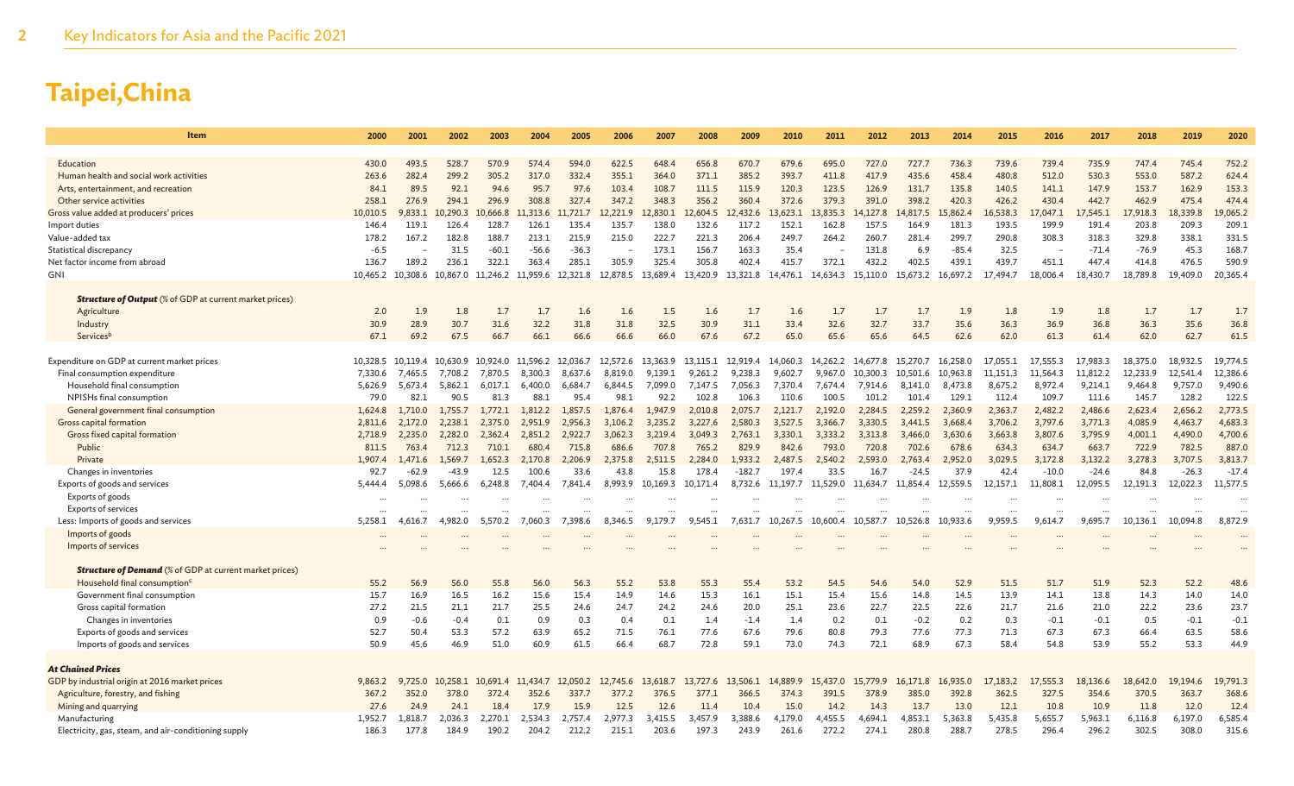| Item                                                                                 | 2000              | 2001             | 2002              | 2003              | 2004                       | 2005              | 2006              | 2007              | 2008              | 2009              | 2010              | 2011              | 2012              | 2013              | 2014              | 2015                | 2016                       | 2017              | 2018              | 2019              | 2020              |
|--------------------------------------------------------------------------------------|-------------------|------------------|-------------------|-------------------|----------------------------|-------------------|-------------------|-------------------|-------------------|-------------------|-------------------|-------------------|-------------------|-------------------|-------------------|---------------------|----------------------------|-------------------|-------------------|-------------------|-------------------|
|                                                                                      |                   |                  |                   |                   |                            |                   |                   |                   |                   |                   |                   |                   |                   |                   |                   |                     |                            |                   |                   |                   |                   |
| Education                                                                            | 430.0             | 493.5            | 528.7             | 570.9             | 574.4                      | 594.0             | 622.5             | 648.4             | 656.8             | 670.7             | 679.6             | 695.0             | 727.0             | 727.7             | 736.3             | 739.6               | 739.4                      | 735.9             | 747.4             | 745.4             | 752.2             |
| Human health and social work activities                                              | 263.6             | 282.4            | 299.2             | 305.2             | 317.0                      | 332.4             | 355.1             | 364.0             | 371.1             | 385.2             | 393.7             | 411.8             | 417.9             | 435.6             | 458.4             | 480.8               | 512.0                      | 530.3             | 553.0             | 587.2             | 624.4             |
| Arts, entertainment, and recreation                                                  | 84.1              | 89.5<br>276.9    | 92.1              | 94.6              | 95.7                       | 97.6              | 103.4             | 108.7             | 111.5             | 115.9             | 120.3             | 123.5             | 126.9             | 131.7             | 135.8             | 140.5               | 141.1                      | 147.9             | 153.7             | 162.9             | 153.3<br>474.4    |
| Other service activities<br>Gross value added at producers' prices                   | 258.1<br>10,010.5 | 9,833.1          | 294.1<br>10,290.3 | 296.9<br>10.666.8 | 308.8<br>11,313.6          | 327.4<br>11.721.7 | 347.2<br>12.221.9 | 348.3<br>.830.1   | 356.2<br>12,604.5 | 360.4<br>12,432.6 | 372.6<br>13,623.1 | 379.3<br>13,835.3 | 391.0<br>14,127.8 | 398.2<br>14,817.5 | 420.3<br>15,862.4 | 426.2<br>16,538.3   | 430.4<br>17,047.1          | 442.7<br>,545.1   | 462.9<br>17,918.3 | 475.4<br>18,339.8 | 19,065.2          |
| Import duties                                                                        | 146.4             | 119.1            | 126.4             | 128.7             | 126.1                      | 135.4             | 135.7             | 138.0             | 132.6             | 117.2             | 152.1             | 162.8             | 157.5             | 164.9             | 181.3             | 193.5               | 199.9                      | 191.4             | 203.8             | 209.3             | 209.1             |
| Value-added tax                                                                      | 178.2             | 167.2            | 182.8             | 188.7             | 213.1                      | 215.9             | 215.0             | 222.7             | 221.3             | 206.4             | 249.7             | 264.2             | 260.7             | 281.4             | 299.7             | 290.8               | 308.3                      | 318.3             | 329.8             | 338.1             | 331.5             |
| Statistical discrepancy                                                              | $-6.5$            |                  | 31.5              | $-60.1$           | $-56.6$                    | $-36.3$           |                   | 173.1             | 156.7             | 163.3             | 35.4              |                   | 131.8             | 6.9               | $-85.4$           | 32.5                |                            | $-71.4$           | $-76.9$           | 45.3              | 168.7             |
| Net factor income from abroad                                                        | 136.7             | 189.2            | 236.1             | 322.1             | 363.4                      | 285.1             | 305.9             | 325.4             | 305.8             | 402.4             | 415.7             | 372.1             | 432.2             | 402.5             | 439.1             | 439.7               | 451.1                      | 447.4             | 414.8             | 476.5             | 590.9             |
| GNI                                                                                  | 10,465.2          | 10,308.6         | 10,867.0          | 11,246.2          | 11,959.6                   | 12,321.8          | 12,878.5          | 13.689.4          | 13,420.9          | 13,321.8          | 14,476.1          | 14.634.3          | 15,110.0          | 15,673.2          | 16,697.2          | 17,494.7            | 18,006.4                   | 18,430.7          | 18,789.8          | 19,409.0          | 20,365.4          |
|                                                                                      |                   |                  |                   |                   |                            |                   |                   |                   |                   |                   |                   |                   |                   |                   |                   |                     |                            |                   |                   |                   |                   |
| <b>Structure of Output</b> (% of GDP at current market prices)                       |                   |                  |                   |                   |                            |                   |                   |                   |                   |                   |                   |                   |                   |                   |                   |                     |                            |                   |                   |                   |                   |
| Agriculture                                                                          | 2.0               | 1.9              | 1.8               | 1.7               | 1.7                        | 1.6               | 1.6               | 1.5               | 1.6               | 1.7               | 1.6               | 1.7               | 1.7               | 1.7               | 1.9               | 1.8                 | 1.9                        | 1.8               | 1.7               | 1.7               | 1.7               |
| Industry                                                                             | 30.9              | 28.9             | 30.7              | 31.6              | 32.2                       | 31.8              | 31.8              | 32.5              | 30.9              | 31.1              | 33.4              | 32.6              | 32.7              | 33.7              | 35.6              | 36.3                | 36.9                       | 36.8              | 36.3              | 35.6              | 36.8              |
| Servicesb                                                                            | 67.1              | 69.2             | 67.5              | 66.7              | 66.1                       | 66.6              | 66.6              | 66.0              | 67.6              | 67.2              | 65.0              | 65.6              | 65.6              | 64.5              | 62.6              | 62.0                | 61.3                       | 61.4              | 62.0              | 62.7              | 61.5              |
| Expenditure on GDP at current market prices                                          | 10,328.5          | 10.119.4         | 10.630.9          |                   | 10,924.0 11,596.2 12,036.7 |                   | 12,572.6          | 13,363.9          | 13.115.1          | 12.919.4          | 14,060.3          | 14,262.2          | 14.677.8          | 15,270.7          | 16.258.0          | 17,055.1            | 7.555.3<br>$\sim$ 1 $\sim$ | .983.3            | 18,375.0          | 18.932.5          | 19,774.5          |
| Final consumption expenditure                                                        | 7,330.6           | 7,465.5          | 7,708.2           | 7,870.5           | 8,300.3                    | 8,637.6           | 8,819.0           | 9,139.1           | 9,261.2           | 9,238.3           | 9,602.7           | 9,967.0           | 10,300.3          | 10,501.6          | 10,963.8          | 11,151.3            | 11,564.3                   | 11,812.2          | 12,233.9          | 12.541.4          | 12,386.6          |
| Household final consumption                                                          | 5,626.9           | 5,673.4          | 5,862.1           | 6,017.1           | 6,400.0                    | 6,684.7           | 6,844.5           | 7,099.0           | 7,147.5           | 7,056.3           | 7,370.4           | 7,674.4           | 7,914.6           | 8,141.0           | 8,473.8           | 8,675.2             | 8,972.4                    | 9,214.1           | 9,464.8           | 9,757.0           | 9,490.6           |
| NPISHs final consumption                                                             | 79.0              | 82.1             | 90.5              | 81.3              | 88.1                       | 95.4              | 98.1              | 92.2              | 102.8             | 106.3             | 110.6             | 100.5             | 101.2             | 101.4             | 129.1             | 112.4               | 109.7                      | 111.6             | 145.7             | 128.2             | 122.5             |
| General government final consumption                                                 | 1,624.8           | 1,710.0          | 1,755.7           | 1,772.1           | 1,812.2                    | 1,857.5           | 1,876.4           | 1.947.9           | 2,010.8           | 2,075.7           | 2,121.7           | 2,192.0           | 2,284.5           | 2,259.2           | 2,360.9           | 2,363.7             | 2,482.2                    | 2,486.6           | 2,623.4           | 2,656.2           | 2,773.5           |
| Gross capital formation                                                              | 2,811.6           | 2,172.0          | 2.238.1           | 2,375.0           | 2,951.9                    | 2,956.3           | 3,106.2           | 3,235.2           | 3,227.6           | 2,580.3           | 3,527.5           | 3,366.7           | 3,330.5           | 3,441.5           | 3,668.4           | 3,706.2             | 3,797.6                    | 3,771.3           | 4,085.9           | 4,463.7           | 4,683.3           |
| Gross fixed capital formation                                                        | 2.718.9           | 2.235.0          | 2.282.0           | 2.362.4           | 2.851.2                    | 2.922.7           | 3.062.3           | 3.219.4           | 3.049.3           | 2.763.1           | 3.330.1           | 3.333.2           | 3.313.8           | 3.466.0           | 3.630.6           | 3.663.8             | 3,807.6                    | 3.795.9           | 4,001.1           | 4,490.0           | 4,700.6           |
| Public                                                                               | 811.5             | 763.4            | 712.3             | 710.1             | 680.4                      | 715.8             | 686.6             | 707.8             | 765.2             | 829.9             | 842.6             | 793.0             | 720.8             | 702.6             | 678.6             | 634.3               | 634.7                      | 663.7             | 722.9             | 782.5             | 887.0             |
| Private                                                                              | 1,907.4           | 1.471.6          | 1.569.7           | 1.652.3           | 2.170.8                    | 2.206.9           | 2.375.8           | 2.511.5           | 2.284.0           | 1.933.2           | 2.487.5           | 2.540.2           | 2.593.0           | 2.763.4           | 2.952.0           | 3,029.5             | 3,172.8                    | 3,132.2           | 3,278.3           | 3,707.5           | 3,813.7           |
| Changes in inventories                                                               | 92.7              | $-62.9$          | $-43.9$           | 12.5              | 100.6                      | 33.6              | 43.8              | 15.8              | 178.4             | $-182.7$          | 197.4             | 33.5              | 16.7              | $-24.5$           | 37.9              | 42.4                | $-10.0$                    | $-24.6$           | 84.8              | $-26.3$           | $-17.4$           |
| Exports of goods and services                                                        | 5.444.4           | 5,098.6          | 5,666.6           | 6,248.8           | 7.404.4                    | 7.841.4           |                   | 8,993.9 10,169.3  | 10,171.4          | 8,732.6           | 11.197.7          | 11,529.0          | 11.634.7          | 11.854.4          | 12,559.5          | 12,157.1            | 11,808.1                   | 12,095.5          | 12,191.3          | 12,022.3          | 11,577.5          |
| Exports of goods                                                                     |                   |                  |                   |                   |                            |                   |                   |                   |                   |                   |                   |                   |                   |                   |                   |                     |                            |                   |                   |                   |                   |
| <b>Exports of services</b>                                                           |                   |                  |                   |                   | $\cdots$                   |                   |                   |                   |                   |                   |                   |                   |                   |                   |                   |                     |                            |                   |                   |                   |                   |
| Less: Imports of goods and services                                                  | 5,258.1           | 4,616.7          | 4.982.0           | 5,570.2           | 7,060.3                    | 7,398.6           | 8,346.5           | 9,179.7           | 9,545.1           | 7,631.7           | 10,267.5          | 10,600.4          | 10.587.7          | 10,526.8          | 10,933.6          | 9,959.5             | 9,614.7                    | 9,695.7           | 10,136.1          | 10,094.8          | 8,872.9           |
| Imports of goods<br>Imports of services                                              |                   |                  |                   |                   |                            |                   |                   |                   |                   |                   |                   |                   |                   |                   |                   |                     |                            |                   |                   |                   |                   |
|                                                                                      |                   |                  |                   |                   |                            |                   |                   |                   |                   |                   |                   |                   |                   |                   |                   |                     |                            |                   |                   |                   |                   |
| <b>Structure of Demand</b> (% of GDP at current market prices)                       |                   |                  |                   |                   |                            |                   |                   |                   |                   |                   |                   |                   |                   |                   |                   |                     |                            |                   |                   |                   |                   |
| Household final consumption <sup>c</sup>                                             | 55.2              | 56.9             | 56.0              | 55.8              | 56.0                       | 56.3              | 55.2              | 53.8              | 55.3              | 55.4              | 53.2              | 54.5              | 54.6              | 54.0              | 52.9              | 51.5                | 51.7                       | 51.9              | 52.3              | 52.2              | 48.6              |
| Government final consumption                                                         | 15.7              | 16.9             | 16.5              | 16.2              | 15.6                       | 15.4              | 14.9              | 14.6              | 15.3              | 16.1              | 15.1              | 15.4              | 15.6              | 14.8              | 14.5              | 13.9                | 14.1                       | 13.8              | 14.3              | 14.0              | 14.0              |
| Gross capital formation                                                              | 27.2              | 21.5             | 21.1              | 21.7              | 25.5                       | 24.6              | 24.7              | 24.2              | 24.6              | 20.0              | 25.1              | 23.6              | 22.7              | 22.5              | 22.6              | 21.7                | 21.6                       | 21.0              | 22.2              | 23.6              | 23.7              |
| Changes in inventories                                                               | 0.9               | $-0.6$           | $-0.4$            | 0.1               | 0.9                        | 0.3               | 0.4               | 0.1               | 1.4               | $-1.4$            | 1.4               | 0.2               | 0.1               | $-0.2$            | 0.2               | 0.3                 | $-0.1$                     | $-0.1$            | 0.5               | $-0.1$            | $-0.1$            |
| Exports of goods and services                                                        | 52.7              | 50.4             | 53.3              | 57.2              | 63.9                       | 65.2              | 71.5              | 76.1              | 77.6              | 67.6              | 79.6              | 80.8              | 79.3              | 77.6              | 77.3              | 71.3                | 67.3                       | 67.3              | 66.4              | 63.5              | 58.6              |
| Imports of goods and services                                                        | 50.9              | 45.6             | 46.9              | 51.0              | 60.9                       | 61.5              | 66.4              | 68.7              | 72.8              | 59.1              | 73.0              | 74.3              | 72.1              | 68.9              | 67.3              | 58.4                | 54.8                       | 53.9              | 55.2              | 53.3              | 44.9              |
|                                                                                      |                   |                  |                   |                   |                            |                   |                   |                   |                   |                   |                   |                   |                   |                   |                   |                     |                            |                   |                   |                   |                   |
| <b>At Chained Prices</b>                                                             |                   |                  |                   |                   |                            |                   |                   |                   |                   |                   |                   |                   |                   |                   |                   |                     |                            |                   |                   |                   |                   |
| GDP by industrial origin at 2016 market prices<br>Agriculture, forestry, and fishing | 9.863.2<br>367.2  | 9.725.0<br>352.0 | .258.1<br>378.0   | 10.691.4<br>372.4 | 11.434.7<br>352.6          | 12.050.2<br>337.7 | 12,745.6<br>377.2 | 13,618.7<br>376.5 | 13,727.6<br>377.1 | 13.506.1<br>366.5 | 14,889.9<br>374.3 | 15.437.0<br>391.5 | 15.779.9<br>378.9 | 16,171.8<br>385.0 | 16,935.0<br>392.8 | 17, 183. 2<br>362.5 | ,555.3<br>327.5            | 18.136.6<br>354.6 | 18,642.0<br>370.5 | 19,194.6<br>363.7 | 19,791.3<br>368.6 |
| Mining and quarrying                                                                 | 27.6              | 24.9             | 24.1              | 18.4              | 17.9                       | 15.9              | 12.5              | 12.6              | 11.4              | 10.4              | 15.0              | 14.2              | 14.3              | 13.7              | 13.0              | 12.1                | 10.8                       | 10.9              | 11.8              | 12.0              | 12.4              |
| Manufacturing                                                                        | 1,952.7           | 1,818.7          | 2.036.3           | 2.270.1           | 2.534.3                    | 2.757.4           | 2,977.3           | 3.415.5           | 3,457.9           | 3.388.6           | 4,179.0           | 4,455.5           | 4.694.1           | 4,853.1           | 5,363.8           | 5,435.8             | 5,655.7                    | 5,963.1           | 6,116.8           | 6.197.0           | 6,585.4           |
| Electricity, gas, steam, and air-conditioning supply                                 | 186.3             | 177.8            | 184.9             | 190.2             | 204.2                      | 212.2             | 215.1             | 203.6             | 197.3             | 243.9             | 261.6             | 272.2             | 274.1             | 280.8             | 288.7             | 278.5               | 296.4                      | 296.2             | 302.5             | 308.0             | 315.6             |
|                                                                                      |                   |                  |                   |                   |                            |                   |                   |                   |                   |                   |                   |                   |                   |                   |                   |                     |                            |                   |                   |                   |                   |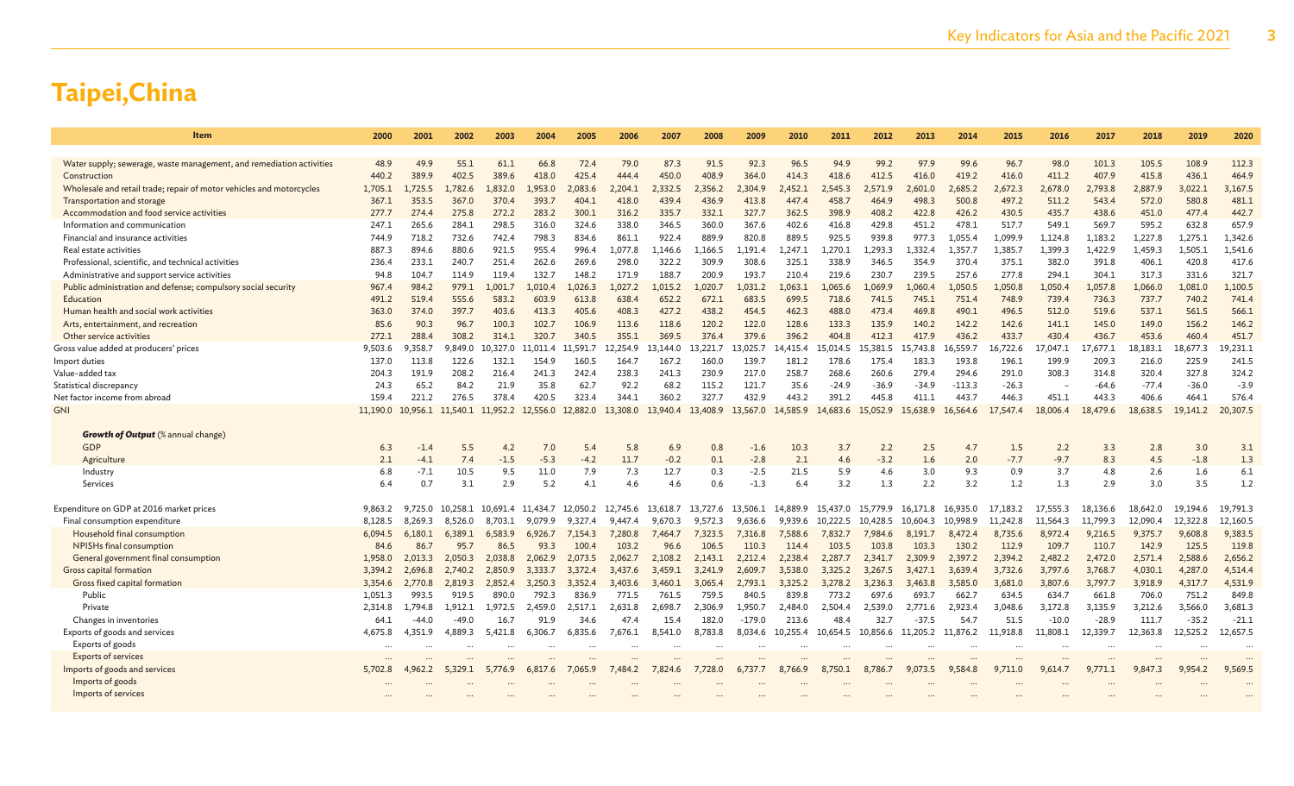| Item                                                                                               | 2000               | 2001               | 2002               | 2003               | 2004               | 2005               | 2006               | 2007               | 2008               | 2009               | 2010               | 2011                | 2012                | 2013                | 2014                | 2015                | 2016                | 2017                | 2018                | 2019                | 2020                |
|----------------------------------------------------------------------------------------------------|--------------------|--------------------|--------------------|--------------------|--------------------|--------------------|--------------------|--------------------|--------------------|--------------------|--------------------|---------------------|---------------------|---------------------|---------------------|---------------------|---------------------|---------------------|---------------------|---------------------|---------------------|
|                                                                                                    |                    |                    |                    |                    |                    |                    |                    |                    |                    |                    |                    |                     |                     |                     |                     |                     |                     |                     |                     |                     |                     |
| Water supply; sewerage, waste management, and remediation activities                               | 48.9               | 49.9               | 55.1               | 61.1               | 66.8               | 72.4               | 79.0               | 87.3               | 91.5               | 92.3               | 96.5               | 94.9                | 99.2                | 97.9                | 99.6                | 96.7                | 98.0                | 101.3               | 105.5               | 108.9               | 112.3               |
| Construction                                                                                       | 440.2              | 389.9              | 402.5              | 389.6              | 418.0              | 425.4              | 444.4              | 450.0              | 408.9              | 364.0              | 414.3              | 418.6               | 412.5               | 416.0               | 419.2               | 416.0               | 411.2               | 407.9               | 415.8               | 436.1               | 464.9               |
| Wholesale and retail trade; repair of motor vehicles and motorcycles<br>Transportation and storage | 1,705.1<br>367.1   | 1,725.5<br>353.5   | .782.6<br>367.0    | 1,832.0<br>370.4   | 1,953.0<br>393.7   | 2,083.6<br>404.1   | 2,204.1<br>418.0   | 2,332.5<br>439.4   | 2,356.2<br>436.9   | 2,304.9<br>413.8   | 2,452.1<br>447.4   | 2,545.3<br>458.7    | 2.571.9<br>464.9    | 2,601.0<br>498.3    | 2,685.2<br>500.8    | 2,672.3<br>497.2    | 2,678.0<br>511.2    | 2,793.8<br>543.4    | 2,887.9<br>572.0    | 3,022.1<br>580.8    | 3,167.5<br>481.1    |
| Accommodation and food service activities                                                          | 277.7              | 274.4              | 275.8              | 272.2              | 283.2              | 300.1              | 316.2              | 335.7              | 332.1              | 327.7              | 362.5              | 398.9               | 408.2               | 422.8               | 426.2               | 430.5               | 435.7               | 438.6               | 451.0               | 477.4               | 442.7               |
| Information and communication                                                                      | 247.1              | 265.6              | 284.1              | 298.5              | 316.0              | 324.6              | 338.0              | 346.5              | 360.0              | 367.6              | 402.6              | 416.8               | 429.8               | 451.2               | 478.1               | 517.7               | 549.1               | 569.7               | 595.2               | 632.8               | 657.9               |
| Financial and insurance activities                                                                 | 744.9              | 718.2              | 732.6              | 742.4              | 798.3              | 834.6              | 861.1              | 922.4              | 889.9              | 820.8              | 889.5              | 925.5               | 939.8               | 977.3               | 1.055.4             | 1.099.9             | 1.124.8             | 1.183.2             | 1.227.8             | 1.275.1             | 1,342.6             |
| Real estate activities                                                                             | 887.3              | 894.6              | 880.6              | 921.5              | 955.4              | 996.4              | L.077.8            | L,146.6            | 1.166.5            | 1.191.4            | 1.247.1            | 1.270.1             | 1.293.3             | 1.332.4             | 1,357.7             | 1,385.7             | 1,399.3             | 1,422.9             | 1,459.3             | 1,505.1             | 1,541.6             |
| Professional, scientific, and technical activities                                                 | 236.4              | 233.1              | 240.7              | 251.4              | 262.6              | 269.6              | 298.0              | 322.2              | 309.9              | 308.6              | 325.1              | 338.9               | 346.5               | 354.9               | 370.4               | 375.1               | 382.0               | 391.8               | 406.1               | 420.8               | 417.6               |
| Administrative and support service activities                                                      | 94.8               | 104.7              | 114.9              | 119.4              | 132.7              | 148.2              | 171.9              | 188.7              | 200.9              | 193.7              | 210.4              | 219.6               | 230.7               | 239.5               | 257.6               | 277.8               | 294.1               | 304.1               | 317.3               | 331.6               | 321.7               |
| Public administration and defense; compulsory social security                                      | 967.4              | 984.2              | 979.1              | 1,001.7            | 1,010.4            | 1,026.3            | .027.2             | 1,015.2            | 1,020.7            | 1,031.2            | 1,063.1            | 1,065.6             | 1,069.9             | 1,060.4             | 1,050.5             | 1,050.8             | 1,050.4             | 1,057.8             | 1,066.0             | 1,081.0             | 1,100.5             |
| Education                                                                                          | 491.2              | 519.4              | 555.6              | 583.2              | 603.9              | 613.8              | 638.4              | 652.2              | 672.1              | 683.5              | 699.5              | 718.6               | 741.5               | 745.1               | 751.4               | 748.9               | 739.4               | 736.3               | 737.7               | 740.2               | 741.4               |
| Human health and social work activities                                                            | 363.0              | 374.0              | 397.7              | 403.6              | 413.3              | 405.6              | 408.3              | 427.2              | 438.2              | 454.5              | 462.3              | 488.0               | 473.4               | 469.8               | 490.1               | 496.5               | 512.0               | 519.6               | 537.1               | 561.5               | 566.1               |
| Arts, entertainment, and recreation                                                                | 85.6               | 90.3               | 96.7               | 100.3              | 102.7              | 106.9              | 113.6              | 118.6              | 120.2              | 122.0              | 128.6              | 133.3               | 135.9               | 140.2               | 142.2               | 142.6               | 141.1               | 145.0               | 149.0               | 156.2               | 146.2               |
| Other service activities                                                                           | 272.1              | 288.4              | 308.2              | 314.1              | 320.7              | 340.5              | 355.1              | 369.5              | 376.4              | 379.6              | 396.2              | 404.8               | 412.3               | 417.9               | 436.2               | 433.7               | 430.4               | 436.7               | 453.6               | 460.4               | 451.7               |
| Gross value added at producers' prices                                                             | 9,503.6            | 9.358.7            | 9.849.0            | 10.327.0           | 11.011.4           | 11.591.7           | 12.254.9           | .144.0             | 13.221.7           | 13.025.7           | 14,415.4           | 15.014.5            | 15.381.5            | 15.743.8            | 16,559.7            | 6,722.6             | 0.047.1             | 17.677.1            | 18,183.1            | 18,677.3            | 19,231.1            |
| Import duties                                                                                      | 137.0              | 113.8              | 122.6              | 132.1              | 154.9              | 160.5              | 164.7              | 167.2              | 160.0              | 139.7              | 181.2              | 178.6               | 175.4               | 183.3               | 193.8               | 196.1               | 199.9               | 209.3               | 216.0               | 225.9               | 241.5               |
| Value-added tax<br>Statistical discrepancy                                                         | 204.3<br>24.3      | 191.9<br>65.2      | 208.2<br>84.2      | 216.4<br>21.9      | 241.3<br>35.8      | 242.4<br>62.7      | 238.3<br>92.2      | 241.3<br>68.2      | 230.9<br>115.2     | 217.0<br>121.7     | 258.7<br>35.6      | 268.6<br>$-24.9$    | 260.6<br>$-36.9$    | 279.4<br>$-34.9$    | 294.6<br>$-113.3$   | 291.0<br>$-26.3$    | 308.3               | 314.8<br>$-64.6$    | 320.4<br>$-77.4$    | 327.8<br>$-36.0$    | 324.2<br>$-3.9$     |
| Net factor income from abroad                                                                      | 159.4              | 221.2              | 276.5              | 378.4              | 420.5              | 323.4              | 344.1              | 360.2              | 327.7              | 432.9              | 443.2              | 391.2               | 445.8               | 411.1               | 443.7               | 446.3               | 451.1               | 443.3               | 406.6               | 464.1               | 576.4               |
| GNI                                                                                                | 11,190.0           | 10.956.1           | 11,540.1           | 11,952.2           | 12,556.0           | 12,882.0           | 13,308.0           | 13,940.4           | 13,408.9           | 13,567.0           | 14,585.9           | 14,683.6            | 15,052.9            | 15,638.9            | 16,564.6            | 17,547.4            | 18,006.4            | 18,479.6            | 18,638.5            | 19,141.2            | 20,307.5            |
|                                                                                                    |                    |                    |                    |                    |                    |                    |                    |                    |                    |                    |                    |                     |                     |                     |                     |                     |                     |                     |                     |                     |                     |
| <b>Growth of Output</b> (% annual change)                                                          |                    |                    |                    |                    |                    |                    |                    |                    |                    |                    |                    |                     |                     |                     |                     |                     |                     |                     |                     |                     |                     |
| <b>GDP</b>                                                                                         | 6.3                | $-1.4$             | 5.5                | 4.2                | 7.0                | 5.4                | 5.8                | 6.9                | 0.8                | $-1.6$             | 10.3               | 3.7                 | 2.2                 | 2.5                 | 4.7                 | 1.5                 | 2.2                 | 3.3                 | 2.8                 | 3.0                 | 3.1                 |
| Agriculture                                                                                        | 2.1                | $-4.1$             | 7.4                | $-1.5$             | $-5.3$             | $-4.2$             | 11.7               | $-0.2$             | 0.1                | $-2.8$             | 2.1                | 4.6                 | $-3.2$              | 1.6                 | 2.0                 | $-7.7$              | $-9.7$              | 8.3                 | 4.5                 | $-1.8$              | 1.3                 |
| Industry                                                                                           | 6.8                | $-7.1$             | 10.5               | 9.5                | 11.0               | 7.9                | 7.3                | 12.7               | 0.3                | $-2.5$             | 21.5               | 5.9                 | 4.6                 | 3.0                 | 9.3                 | 0.9                 | 3.7                 | 4.8                 | 2.6                 | 1.6                 | 6.1                 |
| Services                                                                                           | 6.4                | 0.7                | 3.1                | 2.9                | 5.2                | 4.1                | 4.6                | 4.6                | 0.6                | $-1.3$             | 6.4                | 3.2                 | 1.3                 | 2.2                 | 3.2                 | 1.2                 | 1.3                 | 2.9                 | 3.0                 | 3.5                 | 1.2                 |
|                                                                                                    |                    |                    |                    |                    |                    |                    |                    |                    |                    |                    |                    |                     |                     |                     |                     |                     |                     |                     |                     |                     |                     |
| Expenditure on GDP at 2016 market prices                                                           | 9,863.2            | 9.725.0            | 10.258.1           | 10.691.4 11.434.7  |                    | 12.050.2           | 12,745.6           | 13.618.7           | 13.727.6           | 13.506.1           | 14,889.9           | 15.437.0            | 15.779.9            | 16.171.8            | 16.935.0            | 17,183.2            | 17.555.3            | 18.136.6            | 18,642.0            | 19.194.6            | 19,791.3            |
| Final consumption expenditure<br>Household final consumption                                       | 8.128.5<br>6.094.5 | 8.269.3<br>6.180.1 | 8.526.0<br>6.389.1 | 8.703.1<br>6,583.9 | 9.079.9<br>6,926.7 | 9.327.4<br>7.154.3 | 9,447.4<br>7,280.8 | 9.670.3<br>7.464.7 | 9,572.3<br>7.323.5 | 9.636.6<br>7.316.8 | 9.939.6<br>7.588.6 | 10,222.5<br>7,832.7 | 10.428.5<br>7.984.6 | 10.604.3<br>8.191.7 | 10.998.9<br>8,472.4 | 11,242.8<br>8,735.6 | 11.564.3<br>8,972.4 | 11.799.3<br>9.216.5 | 12.090.4<br>9.375.7 | 12,322.8<br>9,608.8 | 12,160.5<br>9,383.5 |
| <b>NPISHs final consumption</b>                                                                    | 84.6               | 86.7               | 95.7               | 86.5               | 93.3               | 100.4              | 103.2              | 96.6               | 106.5              | 110.3              | 114.4              | 103.5               | 103.8               | 103.3               | 130.2               | 112.9               | 109.7               | 110.7               | 142.9               | 125.5               | 119.8               |
| General government final consumption                                                               | 1.958.0            | 2.013.3            | 2.050.3            | 2.038.8            | 2,062.9            | 2.073.5            | 2.062.7            | 2.108.2            | 2.143.1            | 2.212.4            | 2.238.4            | 2.287.7             | 2.341.7             | 2.309.9             | 2.397.2             | 2.394.2             | 2.482.2             | 2,472.0             | 2,571.4             | 2,588.6             | 2,656.2             |
| Gross capital formation                                                                            | 3,394.2            | 2.696.8            | 2.740.2            | 2,850.9            | 3,333.7            | 3,372.4            | 3.437.6            | 3,459.1            | 3,241.9            | 2.609.7            | 3,538.0            | 3,325.2             | 3,267.5             | 3.427.1             | 3,639.4             | 3,732.6             | 3,797.6             | 3,768.7             | 4,030.1             | 4,287.0             | 4,514.4             |
| Gross fixed capital formation                                                                      | 3,354.6            | 2,770.8            | 2,819.3            | 2,852.4            | 3,250.3            | 3,352.4            | 3,403.6            | 3,460.1            | 3,065.4            | 2,793.1            | 3,325.2            | 3,278.2             | 3,236.3             | 3,463.8             | 3,585.0             | 3,681.0             | 3,807.6             | 3,797.7             | 3,918.9             | 4,317.7             | 4,531.9             |
| Public                                                                                             | 1.051.3            | 993.5              | 919.5              | 890.0              | 792.3              | 836.9              | 771.5              | 761.5              | 759.5              | 840.5              | 839.8              | 773.2               | 697.6               | 693.7               | 662.7               | 634.5               | 634.7               | 661.8               | 706.0               | 751.2               | 849.8               |
| Private                                                                                            | 2,314.8            | 1.794.8            | 1.912.1            | 1.972.5            | 2,459.0            | 2,517.1            | 2,631.8            | 2.698.7            | 2,306.9            | 1.950.7            | 2,484.0            | 2,504.4             | 2.539.0             | 2.771.6             | 2,923.4             | 3.048.6             | 3,172.8             | 3,135.9             | 3,212.6             | 3,566.0             | 3,681.3             |
| Changes in inventories                                                                             | 64.1               | $-44.0$            | $-49.0$            | 16.7               | 91.9               | 34.6               | 47.4               | 15.4               | 182.0              | $-179.0$           | 213.6              | 48.4                | 32.7                | $-37.5$             | 54.7                | 51.5                | $-10.0$             | $-28.9$             | 111.7               | $-35.2$             | $-21.1$             |
| Exports of goods and services                                                                      | 4.675.8            | 4.351.9            | 4,889.3            | 5.421.8            | 6.306.7            | 6.835.6            | 7.676.1            | 8.541.0            | 8.783.8            | 8.034.6            | 10.255.4           | 10.654.5            | 10,856.6            | 11.205.2            | 11.876.2            | 11.918.8            | 11,808.1            | 12,339.7            | 12.363.8            | 12.525.2            | 12,657.5            |
| Exports of goods                                                                                   | $\ddotsc$          |                    |                    |                    |                    |                    |                    |                    |                    |                    |                    |                     |                     |                     |                     |                     |                     |                     |                     |                     |                     |
| <b>Exports of services</b>                                                                         |                    |                    |                    |                    |                    |                    |                    |                    |                    |                    |                    |                     |                     |                     |                     |                     |                     |                     |                     |                     |                     |
| Imports of goods and services                                                                      | 5.702.8            | 4.962.2            | 5.329.1            | 5,776.9            | 6,817.6            | 7,065.9            | 7.484.2            | 7.824.6            | 7.728.0            | 6.737.7            | 8.766.9            | 8.750.1             | 8,786.7             | 9,073.5             | 9,584.8             | 9.711.0             | 9.614.7             |                     | 9,847.3             | 9,954.2             | 9,569.5             |
| Imports of goods                                                                                   |                    |                    |                    |                    |                    |                    |                    |                    |                    |                    |                    |                     |                     |                     |                     |                     |                     |                     |                     |                     |                     |
| Imports of services                                                                                |                    |                    |                    |                    |                    |                    |                    |                    |                    |                    |                    |                     |                     |                     |                     |                     |                     |                     |                     |                     |                     |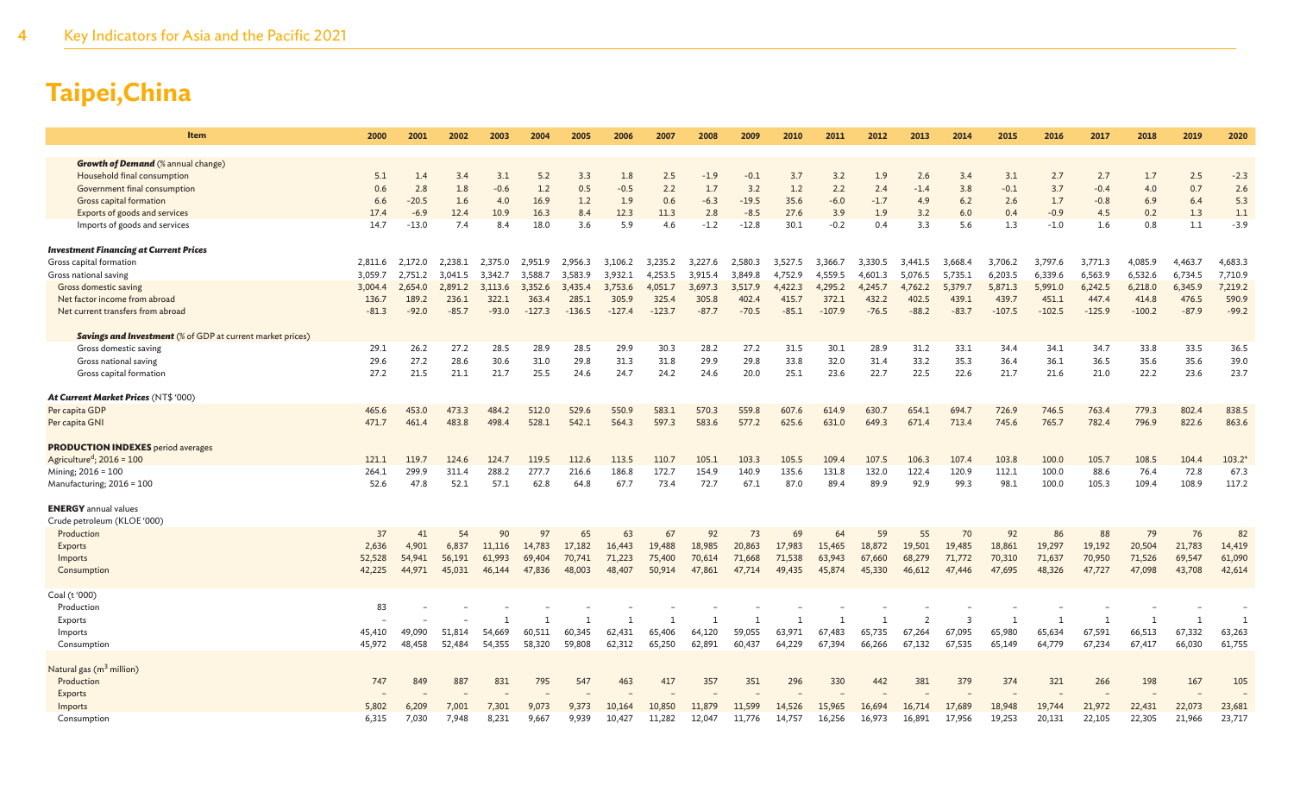| Item                                                              | 2000    | 2001    | 2002    | 2003         | 2004         | 2005     | 2006     | 2007         | 2008         | 2009           | 2010         | 2011     | 2012         | 2013           | 2014    | 2015         | 2016     | 2017     | 2018     | 2019           | 2020    |
|-------------------------------------------------------------------|---------|---------|---------|--------------|--------------|----------|----------|--------------|--------------|----------------|--------------|----------|--------------|----------------|---------|--------------|----------|----------|----------|----------------|---------|
| <b>Growth of Demand</b> (% annual change)                         |         |         |         |              |              |          |          |              |              |                |              |          |              |                |         |              |          |          |          |                |         |
| Household final consumption                                       | 5.1     | 1.4     | 3.4     | 3.1          | 5.2          | 3.3      | 1.8      | 2.5          | $-1.9$       | $-0.1$         | 3.7          | 3.2      | 1.9          | 2.6            | 3.4     | 3.1          | 2.7      | 2.7      | 1.7      | 2.5            | $-2.3$  |
| Government final consumption                                      | 0.6     | 2.8     | 1.8     | $-0.6$       | 1.2          | 0.5      | $-0.5$   | 2.2          | 1.7          | 3.2            | 1.2          | 2.2      | 2.4          | $-1.4$         | 3.8     | $-0.1$       | 3.7      | $-0.4$   | 4.0      | 0.7            | 2.6     |
| Gross capital formation                                           | 6.6     | $-20.5$ | 1.6     | 4.0          | 16.9         | 1.2      | 1.9      | 0.6          | $-6.3$       | $-19.5$        | 35.6         | $-6.0$   | $-1.7$       | 4.9            | 6.2     | 2.6          | 1.7      | $-0.8$   | 6.9      | 6.4            | 5.3     |
| Exports of goods and services                                     | 17.4    | $-6.9$  | 12.4    | 10.9         | 16.3         | 8.4      | 12.3     | 11.3         | 2.8          | $-8.5$         | 27.6         | 3.9      | 1.9          | 3.2            | 6.0     | 0.4          | $-0.9$   | 4.5      | 0.2      | 1.3            | 1.1     |
| Imports of goods and services                                     | 14.7    | $-13.0$ | 7.4     | 8.4          | 18.0         | 3.6      | 5.9      | 4.6          | $-1.2$       | $-12.8$        | 30.1         | $-0.2$   | 0.4          | 3.3            | 5.6     | 1.3          | $-1.0$   | $1.6\,$  | 0.8      | 1.1            | $-3.9$  |
| <b>Investment Financing at Current Prices</b>                     |         |         |         |              |              |          |          |              |              |                |              |          |              |                |         |              |          |          |          |                |         |
| Gross capital formation                                           | 2,811.6 | 2.172.0 | 2.238.1 | 2.375.0      | 2.951.9      | 2.956.3  | 3,106.2  | 3,235.2      | 3.227.6      | 2.580.3        | 3.527.5      | 3,366.7  | 3.330.5      | 3,441.5        | 3.668.4 | 3,706.2      | 3,797.6  | 3,771.3  | 4,085.9  | 4,463.7        | 4,683.3 |
| Gross national saving                                             | 3,059.7 | 2,751.2 | 3,041.5 | 3,342.7      | 3,588.7      | 3.583.9  | 3,932.1  | 4.253.5      | 3,915.4      | 3.849.8        | 4.752.9      | 4,559.5  | 4,601.3      | 5.076.5        | 5,735.1 | 6,203.5      | 6,339.6  | 6,563.9  | 6,532.6  | 6,734.5        | 7,710.9 |
| Gross domestic saving                                             | 3,004.4 | 2,654.0 | 2.891.2 | 3.113.6      | 3,352.6      | 3,435.4  | 3,753.6  | 4,051.7      | 3,697.3      | 3,517.9        | 4,422.3      | 4,295.2  | 4.245.7      | 4,762.2        | 5,379.7 | 5,871.3      | 5,991.0  | 6,242.5  | 6,218.0  | 6,345.9        | 7,219.2 |
| Net factor income from abroad                                     | 136.7   | 189.2   | 236.1   | 322.1        | 363.4        | 285.1    | 305.9    | 325.4        | 305.8        | 402.4          | 415.7        | 372.1    | 432.2        | 402.5          | 439.1   | 439.7        | 451.1    | 447.4    | 414.8    | 476.5          | 590.9   |
| Net current transfers from abroad                                 | $-81.3$ | $-92.0$ | $-85.7$ | $-93.0$      | $-127.3$     | $-136.5$ | $-127.4$ | $-123.7$     | $-87.7$      | $-70.5$        | $-85.1$      | $-107.9$ | $-76.5$      | $-88.2$        | $-83.7$ | $-107.5$     | $-102.5$ | $-125.9$ | $-100.2$ | $-87.9$        | $-99.2$ |
| <b>Savings and Investment</b> (% of GDP at current market prices) |         |         |         |              |              |          |          |              |              |                |              |          |              |                |         |              |          |          |          |                |         |
| Gross domestic saving                                             | 29.1    | 26.2    | 27.2    | 28.5         | 28.9         | 28.5     | 29.9     | 30.3         | 28.2         | 27.2           | 31.5         | 30.1     | 28.9         | 31.2           | 33.1    | 34.4         | 34.1     | 34.7     | 33.8     | 33.5           | 36.5    |
| Gross national saving                                             | 29.6    | 27.2    | 28.6    | 30.6         | 31.0         | 29.8     | 31.3     | 31.8         | 29.9         | 29.8           | 33.8         | 32.0     | 31.4         | 33.2           | 35.3    | 36.4         | 36.1     | 36.5     | 35.6     | 35.6           | 39.0    |
| Gross capital formation                                           | 27.2    | 21.5    | 21.1    | 21.7         | 25.5         | 24.6     | 24.7     | 24.2         | 24.6         | 20.0           | 25.1         | 23.6     | 22.7         | 22.5           | 22.6    | 21.7         | 21.6     | 21.0     | 22.2     | 23.6           | 23.7    |
| At Current Market Prices (NT\$ '000)                              |         |         |         |              |              |          |          |              |              |                |              |          |              |                |         |              |          |          |          |                |         |
| Per capita GDP                                                    | 465.6   | 453.0   | 473.3   | 484.2        | 512.0        | 529.6    | 550.9    | 583.1        | 570.3        | 559.8          | 607.6        | 614.9    | 630.7        | 654.1          | 694.7   | 726.9        | 746.5    | 763.4    | 779.3    | 802.4          | 838.5   |
| Per capita GNI                                                    | 471.7   | 461.4   | 483.8   | 498.4        | 528.1        | 542.1    | 564.3    | 597.3        | 583.6        | 577.2          | 625.6        | 631.0    | 649.3        | 671.4          | 713.4   | 745.6        | 765.7    | 782.4    | 796.9    | 822.6          | 863.6   |
| <b>PRODUCTION INDEXES</b> period averages                         |         |         |         |              |              |          |          |              |              |                |              |          |              |                |         |              |          |          |          |                |         |
| Agriculture <sup>d</sup> ; $2016 = 100$                           | 121.1   | 119.7   | 124.6   | 124.7        | 119.5        | 112.6    | 113.5    | 110.7        | 105.1        | 103.3          | 105.5        | 109.4    | 107.5        | 106.3          | 107.4   | 103.8        | 100.0    | 105.7    | 108.5    | 104.4          | 103.2   |
| Mining; 2016 = 100                                                | 264.1   | 299.9   | 311.4   | 288.2        | 277.7        | 216.6    | 186.8    | 172.7        | 154.9        | 140.9          | 135.6        | 131.8    | 132.0        | 122.4          | 120.9   | 112.1        | 100.0    | 88.6     | 76.4     | 72.8           | 67.3    |
| Manufacturing; 2016 = 100                                         | 52.6    | 47.8    | 52.1    | 57.1         | 62.8         | 64.8     | 67.7     | 73.4         | 72.7         | 67.1           | 87.0         | 89.4     | 89.9         | 92.9           | 99.3    | 98.1         | 100.0    | 105.3    | 109.4    | 108.9          | 117.2   |
| <b>ENERGY</b> annual values                                       |         |         |         |              |              |          |          |              |              |                |              |          |              |                |         |              |          |          |          |                |         |
| Crude petroleum (KLOE '000)                                       |         |         |         |              |              |          |          |              |              |                |              |          |              |                |         |              |          |          |          |                |         |
| Production                                                        | 37      | 41      | 54      | 90           | 97           | 65       | 63       | 67           | 92           | 73             | 69           | 64       | 59           | 55             | 70      | 92           | 86       | 88       | 79       | 76             | 82      |
| Exports                                                           | 2,636   | 4,901   | 6,837   | 11,116       | 14,783       | 17,182   | 16,443   | 19,488       | 18,985       | 20,863         | 17,983       | 15,465   | 18,872       | 19,501         | 19,485  | 18,861       | 19,297   | 19,192   | 20,504   | 21,783         | 14,419  |
| Imports                                                           | 52,528  | 54,941  | 56,191  | 61,993       | 69,404       | 70,741   | 71,223   | 75,400       | 70,614       | 71,668         | 71,538       | 63,943   | 67,660       | 68,279         | 71,772  | 70,310       | 71,637   | 70,950   | 71,526   | 69,547         | 61,090  |
| Consumption                                                       | 42,225  | 44,971  | 45,031  | 46,144       | 47,836       | 48,003   | 48,407   | 50,914       | 47,861       | 47,714         | 49,435       | 45,874   | 45,330       | 46,612         | 47,446  | 47,695       | 48,326   | 47,727   | 47,098   | 43,708         | 42,614  |
| Coal (t '000)                                                     |         |         |         |              |              |          |          |              |              |                |              |          |              |                |         |              |          |          |          |                |         |
| Production                                                        | 83      |         |         |              |              |          |          |              |              |                |              |          |              |                |         |              |          |          |          |                |         |
| Exports                                                           |         |         |         | $\mathbf{1}$ | $\mathbf{1}$ | 1        |          | $\mathbf{1}$ | $\mathbf{1}$ | $\overline{1}$ | $\mathbf{1}$ |          | $\mathbf{1}$ | $\overline{2}$ | 3       | $\mathbf{1}$ | 1        |          | 1        | $\overline{1}$ |         |
| Imports                                                           | 45,410  | 49,090  | 51,814  | 54,669       | 60,511       | 60,345   | 62,431   | 65,406       | 64,120       | 59,055         | 63,971       | 67,483   | 65,735       | 67,264         | 67,095  | 65,980       | 65,634   | 67,591   | 66,513   | 67,332         | 63,263  |
| Consumption                                                       | 45,972  | 48,458  | 52,484  | 54,355       | 58,320       | 59,808   | 62,312   | 65,250       | 62,891       | 60,437         | 64,229       | 67,394   | 66,266       | 67.132         | 67,535  | 65,149       | 64,779   | 67,234   | 67.417   | 66,030         | 61,755  |
| Natural gas (m <sup>3</sup> million)                              |         |         |         |              |              |          |          |              |              |                |              |          |              |                |         |              |          |          |          |                |         |
| Production                                                        | 747     | 849     | 887     | 831          | 795          | 547      | 463      | 417          | 357          | 351            | 296          | 330      | 442          | 381            | 379     | 374          | 321      | 266      | 198      | 167            | 105     |
| Exports                                                           |         |         |         |              |              |          |          |              |              |                |              |          |              |                |         |              |          |          |          |                |         |
| Imports                                                           | 5,802   | 6,209   | 7.001   | 7.301        | 9.073        | 9.373    | 10,164   | 10,850       | 11,879       | 11,599         | 14,526       | 15,965   | 16,694       | 16,714         | 17.689  | 18,948       | 19,744   | 21,972   | 22,431   | 22,073         | 23,681  |
| Consumption                                                       | 6,315   | 7,030   | 7,948   | 8,231        | 9,667        | 9,939    | 10,427   | 11,282       | 12,047       | 11,776         | 14,757       | 16,256   | 16,973       | 16,891         | 17,956  | 19,253       | 20,131   | 22,105   | 22,305   | 21,966         | 23,717  |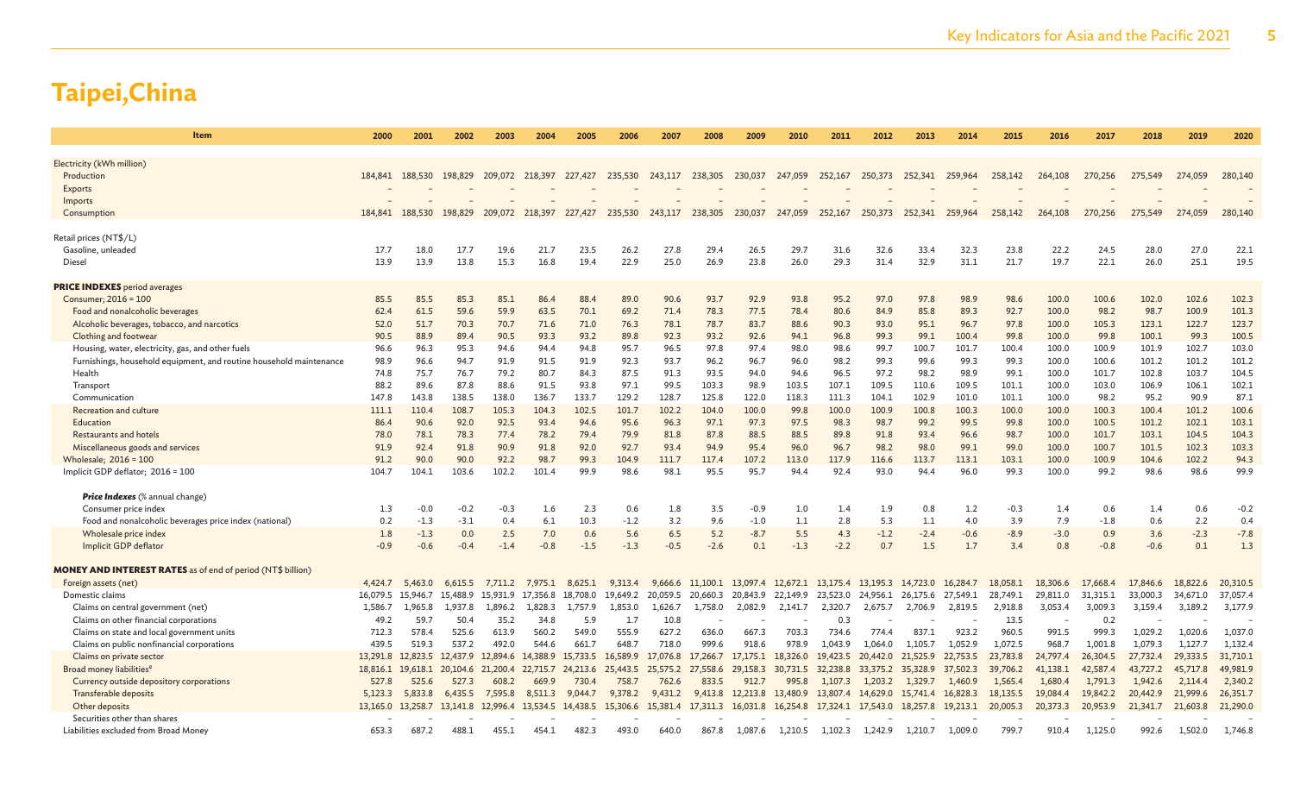| <b>Item</b>                                                         | 2000     | 2001     | 2002     | 2003                    | 2004              | 2005     | 2006     | 2007         | 2008     | 2009              | 2010              | 2011                       | 2012     | 2013              | 2014     | 2015     | 2016         | 2017         | 2018     | 2019     | 2020         |
|---------------------------------------------------------------------|----------|----------|----------|-------------------------|-------------------|----------|----------|--------------|----------|-------------------|-------------------|----------------------------|----------|-------------------|----------|----------|--------------|--------------|----------|----------|--------------|
|                                                                     |          |          |          |                         |                   |          |          |              |          |                   |                   |                            |          |                   |          |          |              |              |          |          |              |
| Electricity (kWh million)                                           |          |          |          |                         |                   |          |          |              |          |                   |                   |                            |          |                   |          |          |              |              |          |          |              |
| Production                                                          | 184,841  | 188,530  | 198,829  | 209,072 218,397 227,427 |                   |          | 235,530  | 243,117      | 238,305  | 230,037           | 247,059           | 252,167                    | 250,373  | 252,341 259,964   |          | 258,142  | 264,108      | 270,256      | 275,549  | 274,059  | 280,140      |
| Exports                                                             |          |          |          |                         |                   |          |          |              |          |                   |                   |                            |          |                   |          |          |              |              |          |          |              |
| Imports                                                             |          |          |          |                         |                   |          |          |              |          |                   |                   |                            |          |                   |          |          |              |              |          |          |              |
| Consumption                                                         | 184,841  | 188,530  | 198,829  | 209,072                 | 218,397           | 227,427  | 235,530  | 243,117      | 238,305  | 230,037           | 247,059           | 252,167                    | 250,373  | 252,341           | 259,964  | 258,142  | 264,108      | 270,256      | 275,549  | 274,059  | 280,140      |
|                                                                     |          |          |          |                         |                   |          |          |              |          |                   |                   |                            |          |                   |          |          |              |              |          |          |              |
| Retail prices (NT\$/L)                                              |          |          |          |                         |                   |          |          |              |          |                   |                   |                            |          |                   |          |          |              |              |          |          |              |
| Gasoline, unleaded                                                  | 17.7     | 18.0     | 17.7     | 19.6                    | 21.7              | 23.5     | 26.2     | 27.8<br>25.0 | 29.4     | 26.5              | 29.7              | 31.6                       | 32.6     | 33.4              | 32.3     | 23.8     | 22.2<br>19.7 | 24.5<br>22.1 | 28.0     | 27.0     | 22.1<br>19.5 |
| Diesel                                                              | 13.9     | 13.9     | 13.8     | 15.3                    | 16.8              | 19.4     | 22.9     |              | 26.9     | 23.8              | 26.0              | 29.3                       | 31.4     | 32.9              | 31.1     | 21.7     |              |              | 26.0     | 25.1     |              |
| <b>PRICE INDEXES</b> period averages                                |          |          |          |                         |                   |          |          |              |          |                   |                   |                            |          |                   |          |          |              |              |          |          |              |
| Consumer; 2016 = 100                                                | 85.5     | 85.5     | 85.3     | 85.1                    | 86.4              | 88.4     | 89.0     | 90.6         | 93.7     | 92.9              | 93.8              | 95.2                       | 97.0     | 97.8              | 98.9     | 98.6     | 100.0        | 100.6        | 102.0    | 102.6    | 102.3        |
| Food and nonalcoholic beverages                                     | 62.4     | 61.5     | 59.6     | 59.9                    | 63.5              | 70.1     | 69.2     | 71.4         | 78.3     | 77.5              | 78.4              | 80.6                       | 84.9     | 85.8              | 89.3     | 92.7     | 100.0        | 98.2         | 98.7     | 100.9    | 101.3        |
| Alcoholic beverages, tobacco, and narcotics                         | 52.0     | 51.7     | 70.3     | 70.7                    | 71.6              | 71.0     | 76.3     | 78.1         | 78.7     | 83.7              | 88.6              | 90.3                       | 93.0     | 95.1              | 96.7     | 97.8     | 100.0        | 105.3        | 123.1    | 122.7    | 123.7        |
| Clothing and footwear                                               | 90.5     | 88.9     | 89.4     | 90.5                    | 93.3              | 93.2     | 89.8     | 92.3         | 93.2     | 92.6              | 94.1              | 96.8                       | 99.3     | 99.1              | 100.4    | 99.8     | 100.0        | 99.8         | 100.1    | 99.3     | 100.5        |
| Housing, water, electricity, gas, and other fuels                   | 96.6     | 96.3     | 95.3     | 94.6                    | 94.4              | 94.8     | 95.7     | 96.5         | 97.8     | 97.4              | 98.0              | 98.6                       | 99.7     | 100.7             | 101.7    | 100.4    | 100.0        | 100.9        | 101.9    | 102.7    | 103.0        |
| Furnishings, household equipment, and routine household maintenance | 98.9     | 96.6     | 94.7     | 91.9                    | 91.5              | 91.9     | 92.3     | 93.7         | 96.2     | 96.7              | 96.0              | 98.2                       | 99.3     | 99.6              | 99.3     | 99.3     | 100.0        | 100.6        | 101.2    | 101.2    | 101.2        |
| Health                                                              | 74.8     | 75.7     | 76.7     | 79.2                    | 80.7              | 84.3     | 87.5     | 91.3         | 93.5     | 94.0              | 94.6              | 96.5                       | 97.2     | 98.2              | 98.9     | 99.1     | 100.0        | 101.7        | 102.8    | 103.7    | 104.5        |
| Transport                                                           | 88.2     | 89.6     | 87.8     | 88.6                    | 91.5              | 93.8     | 97.1     | 99.5         | 103.3    | 98.9              | 103.5             | 107.1                      | 109.5    | 110.6             | 109.5    | 101.1    | 100.0        | 103.0        | 106.9    | 106.1    | 102.1        |
| Communication                                                       | 147.8    | 143.8    | 138.5    | 138.0                   | 136.7             | 133.7    | 129.2    | 128.7        | 125.8    | 122.0             | 118.3             | 111.3                      | 104.1    | 102.9             | 101.0    | 101.1    | 100.0        | 98.2         | 95.2     | 90.9     | 87.1         |
| <b>Recreation and culture</b>                                       | 111.1    | 110.4    | 108.7    | 105.3                   | 104.3             | 102.5    | 101.7    | 102.2        | 104.0    | 100.0             | 99.8              | 100.0                      | 100.9    | 100.8             | 100.3    | 100.0    | 100.0        | 100.3        | 100.4    | 101.2    | 100.6        |
| Education                                                           | 86.4     | 90.6     | 92.0     | 92.5                    | 93.4              | 94.6     | 95.6     | 96.3         | 97.1     | 97.3              | 97.5              | 98.3                       | 98.7     | 99.2              | 99.5     | 99.8     | 100.0        | 100.5        | 101.2    | 102.1    | 103.1        |
| Restaurants and hotels                                              | 78.0     | 78.1     | 78.3     | 77.4                    | 78.2              | 79.4     | 79.9     | 81.8         | 87.8     | 88.5              | 88.5              | 89.8                       | 91.8     | 93.4              | 96.6     | 98.7     | 100.0        | 101.7        | 103.1    | 104.5    | 104.3        |
| Miscellaneous goods and services                                    | 91.9     | 92.4     | 91.8     | 90.9                    | 91.8              | 92.0     | 92.7     | 93.4         | 94.9     | 95.4              | 96.0              | 96.7                       | 98.2     | 98.0              | 99.1     | 99.0     | 100.0        | 100.7        | 101.5    | 102.3    | 103.3        |
| Wholesale; 2016 = 100                                               | 91.2     | 90.0     | 90.0     | 92.2                    | 98.7              | 99.3     | 104.9    | 111.7        | 117.4    | 107.2             | 113.0             | 117.9                      | 116.6    | 113.7             | 113.1    | 103.1    | 100.0        | 100.9        | 104.6    | 102.2    | 94.3         |
| Implicit GDP deflator; 2016 = 100                                   | 104.7    | 104.1    | 103.6    | 102.2                   | 101.4             | 99.9     | 98.6     | 98.1         | 95.5     | 95.7              | 94.4              | 92.4                       | 93.0     | 94.4              | 96.0     | 99.3     | 100.0        | 99.2         | 98.6     | 98.6     | 99.9         |
| <b>Price Indexes</b> (% annual change)                              |          |          |          |                         |                   |          |          |              |          |                   |                   |                            |          |                   |          |          |              |              |          |          |              |
| Consumer price index                                                | 1.3      | $-0.0$   | $-0.2$   | $-0.3$                  | 1.6               | 2.3      | 0.6      | 1.8          | 3.5      | -0.9              | 1.0               | 1.4                        | 1.9      | 0.8               | 1.2      | $-0.3$   | 1.4          | 0.6          | 1.4      | 0.6      | $-0.2$       |
| Food and nonalcoholic beverages price index (national)              | 0.2      | $-1.3$   | $-3.1$   | 0.4                     | 6.1               | 10.3     | $-1.2$   | 3.2          | 9.6      | $-1.0$            | $1.1$             | 2.8                        | 5.3      | 1.1               | 4.0      | 3.9      | 7.9          | $-1.8$       | 0.6      | 2.2      | 0.4          |
| Wholesale price index                                               | 1.8      | $-1.3$   | 0.0      | 2.5                     | 7.0               | 0.6      | 5.6      | 6.5          | 5.2      | $-8.7$            | 5.5               | 4.3                        | $-1.2$   | $-2.4$            | $-0.6$   | $-8.9$   | $-3.0$       | 0.9          | 3.6      | $-2.3$   | $-7.8$       |
| Implicit GDP deflator                                               | $-0.9$   | $-0.6$   | $-0.4$   | $-1.4$                  | $-0.8$            | $-1.5$   | $-1.3$   | $-0.5$       | $-2.6$   | 0.1               | $-1.3$            | $-2.2$                     | 0.7      | 1.5               | 1.7      | 3.4      | 0.8          | $-0.8$       | $-0.6$   | 0.1      | 1.3          |
|                                                                     |          |          |          |                         |                   |          |          |              |          |                   |                   |                            |          |                   |          |          |              |              |          |          |              |
| <b>MONEY AND INTEREST RATES</b> as of end of period (NT\$ billion)  |          |          |          |                         |                   |          |          |              |          |                   |                   |                            |          |                   |          |          |              |              |          |          |              |
| Foreign assets (net)                                                | 4,424.7  | 5,463.0  | 6,615.5  |                         | 7,711.2 7,975.1   | 8,625.1  | 9.313.4  | 9,666.6      |          | 11,100.1 13,097.4 |                   | 12,672.1 13,175.4 13,195.3 |          | 14,723.0          | 16,284.7 | 18,058.1 | 18,306.6     | 17,668.4     | 17,846.6 | 18,822.6 | 20,310.5     |
| Domestic claims                                                     | 16.079.5 | 15.946.7 | 15.488.9 | 15.931.9                | 17.356.8          | 18.708.0 | 19,649.2 | 20.059.5     | 20,660.3 | 20.843.9          | 22.149.9          | 23.523.0                   | 24.956.1 | 26.175.6          | 27,549.1 | 28,749.1 | 29,811.0     | 31,315.1     | 33,000.3 | 34,671.0 | 37,057.4     |
| Claims on central government (net)                                  | 1,586.7  | 1,965.8  | 1,937.8  | 1,896.2                 | 1,828.3           | 1,757.9  | 1,853.0  | 1,626.7      | 1,758.0  | 2,082.9           | 2,141.7           | 2,320.7                    | 2,675.7  | 2,706.9           | 2,819.5  | 2,918.8  | 3,053.4      | 3,009.3      | 3,159.4  | 3,189.2  | 3,177.9      |
| Claims on other financial corporations                              | 49.2     | 59.7     | 50.4     | 35.2                    | 34.8              | 5.9      | 1.7      | 10.8         |          |                   |                   | 0.3                        |          |                   |          | 13.5     |              | 0.2          |          |          |              |
| Claims on state and local government units                          | 712.3    | 578.4    | 525.6    | 613.9                   | 560.2             | 549.0    | 555.9    | 627.2        | 636.0    | 667.3             | 703.3             | 734.6                      | 774.4    | 837.1             | 923.2    | 960.5    | 991.5        | 999.3        | 1,029.2  | 1,020.6  | 1,037.0      |
| Claims on public nonfinancial corporations                          | 439.5    | 519.3    | 537.2    | 492.0                   | 544.6             | 661.7    | 648.7    | 718.0        | 999.6    | 918.6             | 978.9             | 1,043.9                    | 1,064.0  | 1,105.7           | 1,052.9  | 1,072.5  | 968.7        | 1.001.8      | 1,079.3  | 1,127.7  | 1,132.4      |
| Claims on private sector                                            | 13,291.8 | 12,823.5 | 12,437.9 | 12,894.6                | 14,388.9          | 15.733.5 | 16,589.9 | 17,076.8     | 17,266.7 | 17,175.1          | 18,326.0          | 19,423.5                   | 20,442.0 | 21,525.9          | 22,753.5 | 23.783.8 | 24,797.4     | 26,304.5     | 27,732.4 | 29,333.5 | 31,710.1     |
| Broad money liabilities <sup>e</sup>                                | 18,816.1 | 19,618.1 | 20,104.6 | 21,200.4                | 22,715.7          | 24.213.6 | 25,443.5 | 25,575.2     | 27,558.6 | 29,158.3          | 30,731.5          | 32,238.8                   | 33,375.2 | 35,328.9          | 37,502.3 | 39,706.2 | 41,138.1     | 42,587.4     | 43,727.2 | 45,717.8 | 49,981.9     |
| Currency outside depository corporations                            | 527.8    | 525.6    | 527.3    | 608.2                   | 669.9             | 730.4    | 758.7    | 762.6        | 833.5    | 912.7             | 995.8             | 1,107.3                    | 1.203.2  | 1.329.7           | 1,460.9  | 1.565.4  | 1,680.4      | 1.791.3      | 1,942.6  | 2,114.4  | 2,340.2      |
| Transferable deposits                                               | 5,123.3  | 5,833.8  | 6,435.5  | 7,595.8                 | 8,511.3           | 9,044.7  | 9,378.2  | 9,431.2      | 9,413.8  | 12,213.8 13,480.9 |                   | 13,807.4                   | 14,629.0 | 15,741.4 16,828.3 |          | 18,135.5 | 19,084.4     | 19,842.2     | 20,442.9 | 21,999.6 | 26,351.7     |
| Other deposits                                                      | 13,165.0 | 13.258.7 |          | 13.141.8 12.996.4       | 13.534.5 14.438.5 |          | 15,306.6 | 15,381.4     | 17.311.3 | 16,031.8          | 16,254.8 17,324.1 |                            | 17.543.0 | 18,257.8          | 19,213.1 | 20,005.3 | 20,373.3     | 20,953.9     | 21,341.7 | 21,603.8 | 21,290.0     |
| Securities other than shares                                        |          |          |          |                         |                   |          |          |              |          |                   |                   |                            |          |                   |          |          |              |              |          |          |              |
| Liabilities excluded from Broad Money                               | 653.3    | 687.2    | 488.1    | 455.1                   | 454.1             | 482.3    | 493.0    | 640.0        | 867.8    | 1,087.6           | 1,210.5           | 1,102.3                    | 1,242.9  | 1,210.7           | 1,009.0  | 799.7    | 910.4        | 1,125.0      | 992.6    | 1,502.0  | 1,746.8      |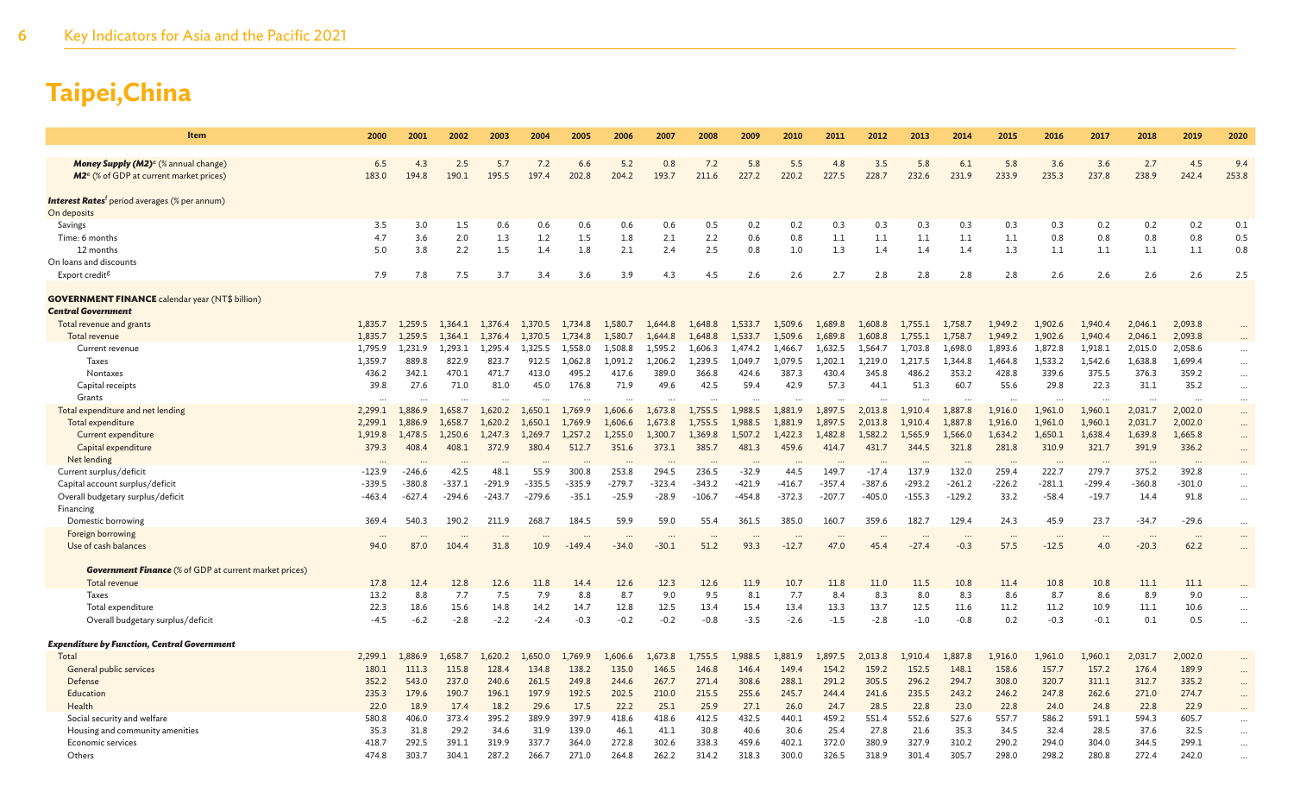| Item                                                                                                                      | 2000               | 2001               | 2002               | 2003               | 2004               | 2005               | 2006               | 2007               | 2008               | 2009               | 2010               | 2011               | 2012               | 2013               | 2014               | 2015               | 2016               | 2017               | 2018               | 2019               | 2020         |
|---------------------------------------------------------------------------------------------------------------------------|--------------------|--------------------|--------------------|--------------------|--------------------|--------------------|--------------------|--------------------|--------------------|--------------------|--------------------|--------------------|--------------------|--------------------|--------------------|--------------------|--------------------|--------------------|--------------------|--------------------|--------------|
| <b>Money Supply (M2)<sup>e</sup></b> (% annual change)<br>M <sub>2</sub> <sup>e</sup> (% of GDP at current market prices) | 6.5<br>183.0       | 4.3<br>194.8       | 2.5<br>190.1       | 5.7<br>195.5       | 7.2<br>197.4       | 6.6<br>202.8       | 5.2<br>204.2       | 0.8<br>193.7       | 7.2<br>211.6       | 5.8<br>227.2       | 5.5<br>220.2       | 4.8<br>227.5       | 3.5<br>228.7       | 5.8<br>232.6       | 6.1<br>231.9       | 5.8<br>233.9       | 3.6<br>235.3       | 3.6<br>237.8       | 2.7<br>238.9       | 4.5<br>242.4       | 9.4<br>253.8 |
| <b>Interest Rates</b> <sup>†</sup> period averages (% per annum)<br>On deposits                                           |                    |                    |                    |                    |                    |                    |                    |                    |                    |                    |                    |                    |                    |                    |                    |                    |                    |                    |                    |                    |              |
| Savings                                                                                                                   | 3.5                | 3.0                | 1.5                | 0.6                | 0.6                | 0.6                | 0.6                | 0.6                | 0.5                | 0.2                | 0.2                | 0.3                | 0.3                | 0.3                | 0.3                | 0.3                | 0.3                | 0.2                | 0.2                | 0.2                | 0.1          |
| Time: 6 months                                                                                                            | 4.7                | 3.6                | 2.0                | 1.3                | 1.2                | 1.5                | 1.8                | 2.1                | 2.2                | 0.6                | 0.8                | 1.1                | 1.1                | 1.1                | 1.1                | 1.1                | 0.8                | 0.8                | 0.8                | 0.8                | 0.5          |
| 12 months                                                                                                                 | 5.0                | 3.8                | 2.2                | 1.5                | 1.4                | 1.8                | 2.1                | 2.4                | 2.5                | 0.8                | 1.0                | 1.3                | 1.4                | 1.4                | 1.4                | 1.3                | 1.1                | 1.1                | 1.1                | 1.1                | 0.8          |
| On loans and discounts                                                                                                    |                    |                    |                    |                    |                    |                    |                    |                    |                    |                    |                    |                    |                    |                    |                    |                    |                    |                    |                    |                    |              |
| Export credit <sup>g</sup>                                                                                                | 7.9                | 7.8                | 7.5                | 3.7                | 3.4                | 3.6                | 3.9                | 4.3                | 4.5                | 2.6                | 2.6                | 2.7                | 2.8                | 2.8                | 2.8                | 2.8                | 2.6                | 2.6                | 2.6                | 2.6                | 2.5          |
| <b>GOVERNMENT FINANCE</b> calendar year (NT\$ billion)<br><b>Central Government</b>                                       |                    |                    |                    |                    |                    |                    |                    |                    |                    |                    |                    |                    |                    |                    |                    |                    |                    |                    |                    |                    |              |
| Total revenue and grants                                                                                                  | 1,835.7            | 1,259.5            | 1.364.1            | 1,376.4            | 1,370.5            | 1,734.8            | 1,580.7            | 1,644.8            | 1,648.8            | 1.533.7            | 1,509.6            | 1,689.8            | 1,608.8            | 1,755.1            | 1,758.7            | 1,949.2            | 1,902.6            | 1.940.4            | 2,046.1            | 2,093.8            |              |
| Total revenue                                                                                                             | 1.835.7            | 1.259.5            | 1.364.1            | 1.376.4            | 1.370.5            | 1.734.8            | 1.580.7            | 1.644.8            | 1.648.8            | 1.533.7            | 1.509.6            | 1.689.8            | 1,608.8            | 1.755.1            | 1.758.7            | 1.949.2            | 1,902.6            | 1.940.4            | 2,046.1            | 2,093.8            |              |
| Current revenue                                                                                                           | 1,795.9            | 1.231.9            | 1,293.1            | 1,295.4            | 1,325.5            | 1,558.0            | 1,508.8            | 1,595.2            | 1,606.3            | 1,474.2            | 1,466.7            | 1,632.5            | 1,564.7            | 1,703.8            | 1,698.0            | 1,893.6            | 1,872.8            | 1,918.1            | 2,015.0            | 2,058.6            | $\ddotsc$    |
| Taxes                                                                                                                     | 1,359.7            | 889.8              | 822.9              | 823.7              | 912.5              | 1,062.8            | 1,091.2            | 1,206.2            | 1,239.5            | 1,049.7            | 1,079.5            | 1,202.1            | 1,219.0            | 1,217.5            | 1,344.8            | 1,464.8            | 1,533.2            | 1,542.6            | 1,638.8            | 1,699.4            | $\cdots$     |
| Nontaxes                                                                                                                  | 436.2              | 342.1              | 470.1              | 471.7              | 413.0              | 495.2              | 417.6              | 389.0              | 366.8              | 424.6              | 387.3              | 430.4              | 345.8              | 486.2              | 353.2              | 428.8              | 339.6              | 375.5              | 376.3              | 359.2              | $\cdots$     |
| Capital receipts                                                                                                          | 39.8               | 27.6               | 71.0               | 81.0               | 45.0               | 176.8              | 71.9               | 49.6               | 42.5               | 59.4               | 42.9               | 57.3               | 44.1               | 51.3               | 60.7               | 55.6               | 29.8               | 22.3               | 31.1               | 35.2               | $\ddots$     |
| Grants                                                                                                                    |                    |                    |                    |                    |                    |                    | $\cdots$           |                    |                    |                    | $\cdots$           |                    |                    |                    |                    |                    |                    |                    |                    |                    | $\ddots$     |
| Total expenditure and net lending                                                                                         | 2,299.1            | 1,886.9<br>1,886.9 | 1.658.7<br>1.658.7 | 1,620.2            | 1,650.1            | 1,769.9            | 1,606.6            | 1,673.8            | 1,755.5            | 1,988.5<br>1.988.5 | 1,881.9<br>1,881.9 | 1,897.5<br>1,897.5 | 2,013.8            | 1,910.4            | 1,887.8            | 1,916.0            | 1,961.0            | 1,960.1            | 2,031.7            | 2,002.0            | $\cdots$     |
| Total expenditure<br>Current expenditure                                                                                  | 2,299.1<br>1,919.8 | 1,478.5            | 1,250.6            | 1.620.2<br>1,247.3 | 1.650.1<br>1.269.7 | 1,769.9<br>1,257.2 | 1,606.6<br>1,255.0 | 1.673.8<br>1.300.7 | 1,755.5<br>1,369.8 | 1,507.2            | 1,422.3            | 1.482.8            | 2,013.8<br>1,582.2 | 1.910.4<br>1,565.9 | 1,887.8<br>1,566.0 | 1,916.0<br>1,634.2 | 1,961.0<br>1,650.1 | 1,960.1<br>1,638.4 | 2,031.7<br>1,639.8 | 2,002.0<br>1,665.8 | $\cdots$     |
| Capital expenditure                                                                                                       | 379.3              | 408.4              | 408.1              | 372.9              | 380.4              | 512.7              | 351.6              | 373.1              | 385.7              | 481.3              | 459.6              | 414.7              | 431.7              | 344.5              | 321.8              | 281.8              | 310.9              | 321.7              | 391.9              | 336.2              | $\ddots$     |
| Net lending                                                                                                               |                    |                    |                    |                    |                    |                    |                    |                    |                    |                    |                    |                    |                    |                    |                    |                    |                    | $\cdots$           |                    |                    | $\cdots$     |
| Current surplus/deficit                                                                                                   | $-123.9$           | $-246.6$           | 42.5               | 48.1               | 55.9               | 300.8              | 253.8              | 294.5              | 236.5              | $-32.9$            | 44.5               | 149.7              | $-17.4$            | 137.9              | 132.0              | 259.4              | 222.7              | 279.7              | 375.2              | 392.8              | $\cdots$     |
| Capital account surplus/deficit                                                                                           | $-339.5$           | $-380.8$           | $-337.1$           | $-291.9$           | $-335.5$           | $-335.9$           | $-279.7$           | $-323.4$           | $-343.2$           | $-421.9$           | $-416.7$           | $-357.4$           | $-387.6$           | $-293.2$           | $-261.2$           | $-226.2$           | $-281.1$           | $-299.4$           | $-360.8$           | $-301.0$           | $\ddots$     |
| Overall budgetary surplus/deficit                                                                                         | $-463.4$           | $-627.4$           | $-294.6$           | $-243.7$           | $-279.6$           | $-35.1$            | $-25.9$            | $-28.9$            | $-106.7$           | $-454.8$           | $-372.3$           | $-207.7$           | -405.0             | $-155.3$           | $-129.2$           | 33.2               | $-58.4$            | $-19.7$            | 14.4               | 91.8               | $\cdots$     |
| Financing                                                                                                                 |                    |                    |                    |                    |                    |                    |                    |                    |                    |                    |                    |                    |                    |                    |                    |                    |                    |                    |                    |                    |              |
| Domestic borrowing                                                                                                        | 369.4              | 540.3              | 190.2              | 211.9              | 268.7              | 184.5              | 59.9               | 59.0               | 55.4               | 361.5              | 385.0              | 160.7              | 359.6              | 182.7              | 129.4              | 24.3               | 45.9               | 23.7               | $-34.7$            | $-29.6$            | $\cdots$     |
| Foreign borrowing                                                                                                         |                    |                    |                    |                    |                    |                    |                    |                    |                    |                    |                    |                    |                    |                    |                    |                    |                    |                    |                    |                    | $\cdots$     |
| Use of cash balances                                                                                                      | 94.0               | 87.0               | 104.4              | 31.8               | 10.9               | $-149.4$           | $-34.0$            | $-30.1$            | 51.2               | 93.3               | $-12.7$            | 47.0               | 45.4               | $-27.4$            | $-0.3$             | 57.5               | $-12.5$            | 4.0                | $-20.3$            | 62.2               | $\ddots$     |
|                                                                                                                           |                    |                    |                    |                    |                    |                    |                    |                    |                    |                    |                    |                    |                    |                    |                    |                    |                    |                    |                    |                    |              |
| <b>Government Finance</b> (% of GDP at current market prices)                                                             |                    |                    |                    |                    |                    |                    |                    |                    |                    |                    |                    |                    |                    |                    |                    |                    |                    |                    |                    |                    |              |
| Total revenue                                                                                                             | 17.8               | 12.4               | 12.8               | 12.6               | 11.8               | 14.4               | 12.6               | 12.3               | 12.6               | 11.9               | 10.7               | 11.8               | 11.0               | 11.5               | 10.8               | 11.4               | 10.8               | 10.8               | 11.1               | 11.1               |              |
| Taxes<br>Total expenditure                                                                                                | 13.2<br>22.3       | 8.8<br>18.6        | 7.7<br>15.6        | 7.5<br>14.8        | 7.9<br>14.2        | 8.8<br>14.7        | 8.7<br>12.8        | 9.0<br>12.5        | 9.5<br>13.4        | 8.1<br>15.4        | 7.7<br>13.4        | 8.4<br>13.3        | 8.3<br>13.7        | 8.0<br>12.5        | 8.3<br>11.6        | 8.6<br>11.2        | 8.7<br>11.2        | 8.6<br>10.9        | 8.9<br>11.1        | 9.0<br>10.6        |              |
| Overall budgetary surplus/deficit                                                                                         | $-4.5$             | $-6.2$             | $-2.8$             | $-2.2$             | $-2.4$             | $-0.3$             | $-0.2$             | $-0.2$             | $-0.8$             | $-3.5$             | $-2.6$             | $-1.5$             | $-2.8$             | $-1.0$             | $-0.8$             | 0.2                | $-0.3$             | $-0.1$             | 0.1                | 0.5                | $\ddotsc$    |
|                                                                                                                           |                    |                    |                    |                    |                    |                    |                    |                    |                    |                    |                    |                    |                    |                    |                    |                    |                    |                    |                    |                    | $\ddotsc$    |
| <b>Expenditure by Function, Central Government</b>                                                                        |                    |                    |                    |                    |                    |                    |                    |                    |                    |                    |                    |                    |                    |                    |                    |                    |                    |                    |                    |                    |              |
| Total                                                                                                                     | 2.299.1            | 1.886.9            | 658.               | 1.620.2            | 650 C              | .769.9             | .606.6             | .673.8             | 1.755.5            | .988.5             | 881.9              | 897.5              | 2.013.8            | .910.4             | 1.887.8            | 1.916.0            | 1,961.0            | 1.960.1            | 2,031.7            | 2,002.0            |              |
| General public services                                                                                                   | 180.1              | 111.3              | 115.8              | 128.4              | 134.8              | 138.2              | 135.0              | 146.5              | 146.8              | 146.4              | 149.4              | 154.2              | 159.2              | 152.5              | 148.1              | 158.6              | 157.7              | 157.2              | 176.4              | 189.9              | $\cdots$     |
| Defense                                                                                                                   | 352.2              | 543.0              | 237.0              | 240.6              | 261.5              | 249.8              | 244.6              | 267.7              | 271.4              | 308.6              | 288.1              | 291.2              | 305.5              | 296.2              | 294.7              | 308.0              | 320.7              | 311.1              | 312.7              | 335.2              | $\ddots$     |
| Education                                                                                                                 | 235.3              | 179.6              | 190.7              | 196.1              | 197.9              | 192.5              | 202.5              | 210.0              | 215.5              | 255.6              | 245.7              | 244.4              | 241.6              | 235.5              | 243.2              | 246.2              | 247.8              | 262.6              | 271.0              | 274.7              | $\ddots$     |
| Health                                                                                                                    | 22.0               | 18.9               | 17.4               | 18.2               | 29.6               | 17.5               | 22.2               | 25.1               | 25.9               | 27.1               | 26.0               | 24.7               | 28.5               | 22.8               | 23.0               | 22.8               | 24.0               | 24.8               | 22.8               | 22.9               |              |
| Social security and welfare                                                                                               | 580.8              | 406.0              | 373.4              | 395.2              | 389.9              | 397.9              | 418.6              | 418.6              | 412.5              | 432.5              | 440.1              | 459.2              | 551.4              | 552.6              | 527.6              | 557.7              | 586.2              | 591.1              | 594.3              | 605.7              |              |
| Housing and community amenities                                                                                           | 35.3               | 31.8               | 29.2               | 34.6               | 31.9               | 139.0              | 46.1               | 41.1               | 30.8               | 40.6               | 30.6               | 25.4               | 27.8               | 21.6               | 35.3               | 34.5               | 32.4               | 28.5               | 37.6               | 32.5               | $\ddotsc$    |
| Economic services                                                                                                         | 418.7              | 292.5              | 391.1              | 319.9              | 337.7              | 364.0              | 272.8              | 302.6              | 338.3              | 459.6              | 402.1              | 372.0              | 380.9              | 327.9              | 310.2              | 290.2              | 294.0              | 304.0              | 344.5              | 299.1              | $\ddotsc$    |
| Others                                                                                                                    | 474.8              | 303.7              | 304.1              | 287.2              | 266.7              | 271.0              | 264.8              | 262.2              | 314.2              | 318.3              | 300.0              | 326.5              | 318.9              | 301.4              | 305.7              | 298.0              | 298.2              | 280.8              | 272.4              | 242.0              |              |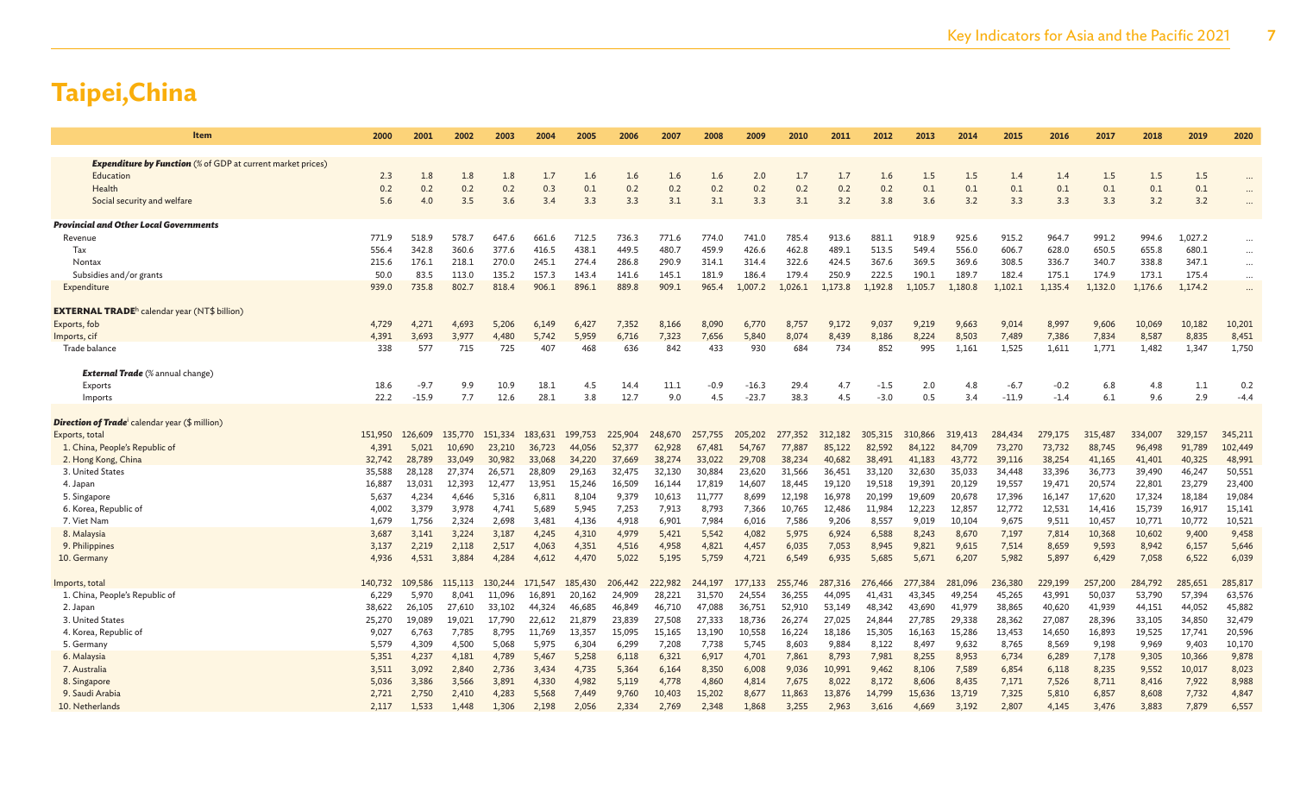| Item                                                                            | 2000    | 2001    | 2002    | 2003    | 2004    | 2005    | 2006    | 2007    | 2008    | 2009    | 2010    | 2011    | 2012    | 2013    | 2014    | 2015    | 2016    | 2017    | 2018    | 2019    | 2020     |
|---------------------------------------------------------------------------------|---------|---------|---------|---------|---------|---------|---------|---------|---------|---------|---------|---------|---------|---------|---------|---------|---------|---------|---------|---------|----------|
|                                                                                 |         |         |         |         |         |         |         |         |         |         |         |         |         |         |         |         |         |         |         |         |          |
| <b>Expenditure by Function</b> (% of GDP at current market prices)<br>Education | 2.3     | 1.8     | 1.8     | 1.8     | 1.7     | 1.6     | 1.6     | 1.6     | 1.6     | 2.0     | 1.7     | 1.7     | 1.6     | 1.5     | 1.5     | 1.4     | 1.4     | 1.5     | 1.5     | 1.5     |          |
| Health                                                                          | 0.2     | 0.2     | 0.2     | 0.2     | 0.3     | 0.1     | 0.2     | 0.2     | 0.2     | 0.2     | 0.2     | 0.2     | 0.2     | 0.1     | 0.1     | 0.1     | 0.1     | 0.1     | 0.1     | 0.1     |          |
| Social security and welfare                                                     | 5.6     | 4.0     | 3.5     | 3.6     | 3.4     | 3.3     | 3.3     | 3.1     | 3.1     | 3.3     | 3.1     | 3.2     | 3.8     | 3.6     | 3.2     | 3.3     | 3.3     | 3.3     | 3.2     | 3.2     | $\cdots$ |
|                                                                                 |         |         |         |         |         |         |         |         |         |         |         |         |         |         |         |         |         |         |         |         |          |
| <b>Provincial and Other Local Governments</b>                                   |         |         |         |         |         |         |         |         |         |         |         |         |         |         |         |         |         |         |         |         |          |
| Revenue                                                                         | 771.9   | 518.9   | 578.7   | 647.6   | 661.6   | 712.5   | 736.3   | 771.6   | 774.0   | 741.0   | 785.4   | 913.6   | 881.1   | 918.9   | 925.6   | 915.2   | 964.7   | 991.2   | 994.6   | 1,027.2 | $\ddots$ |
| Tax                                                                             | 556.4   | 342.8   | 360.6   | 377.6   | 416.5   | 438.1   | 449.5   | 480.7   | 459.9   | 426.6   | 462.8   | 489.1   | 513.5   | 549.4   | 556.0   | 606.7   | 628.0   | 650.5   | 655.8   | 680.1   | $\ldots$ |
| Nontax                                                                          | 215.6   | 176.1   | 218.1   | 270.0   | 245.1   | 274.4   | 286.8   | 290.9   | 314.1   | 314.4   | 322.6   | 424.5   | 367.6   | 369.5   | 369.6   | 308.5   | 336.7   | 340.7   | 338.8   | 347.1   | $\cdots$ |
| Subsidies and/or grants                                                         | 50.0    | 83.5    | 113.0   | 135.2   | 157.3   | 143.4   | 141.6   | 145.1   | 181.9   | 186.4   | 179.4   | 250.9   | 222.5   | 190.1   | 189.7   | 182.4   | 175.1   | 174.9   | 173.1   | 175.4   | $\ldots$ |
| Expenditure                                                                     | 939.0   | 735.8   | 802.7   | 818.4   | 906.1   | 896.1   | 889.8   | 909.1   | 965.4   | 1,007.2 | 1,026.1 | 1,173.8 | 1,192.8 | 1,105.7 | 1,180.8 | 1,102.1 | 1,135.4 | 1,132.0 | 1,176.6 | 1,174.2 | $\ddots$ |
| <b>EXTERNAL TRADE</b> <sup>h</sup> calendar year (NT\$ billion)                 |         |         |         |         |         |         |         |         |         |         |         |         |         |         |         |         |         |         |         |         |          |
| Exports, fob                                                                    | 4,729   | 4,271   | 4,693   | 5,206   | 6,149   | 6,427   | 7,352   | 8,166   | 8,090   | 6,770   | 8,757   | 9,172   | 9,037   | 9,219   | 9,663   | 9,014   | 8,997   | 9,606   | 10,069  | 10,182  | 10,201   |
| Imports, cif                                                                    | 4,391   | 3.693   | 3.977   | 4.480   | 5,742   | 5.959   | 6,716   | 7,323   | 7,656   | 5,840   | 8,074   | 8,439   | 8,186   | 8.224   | 8,503   | 7,489   | 7,386   | 7,834   | 8,587   | 8,835   | 8,451    |
| Trade balance                                                                   | 338     | 577     | 715     | 725     | 407     | 468     | 636     | 842     | 433     | 930     | 684     | 734     | 852     | 995     | 1,161   | 1,525   | 1,611   | 1,771   | 1,482   | 1,347   | 1,750    |
| <b>External Trade</b> (% annual change)                                         |         |         |         |         |         |         |         |         |         |         |         |         |         |         |         |         |         |         |         |         |          |
| Exports                                                                         | 18.6    | $-9.7$  | 9.9     | 10.9    | 18.1    | 4.5     | 14.4    | 11.1    | $-0.9$  | $-16.3$ | 29.4    | 4.7     | $-1.5$  | 2.0     | 4.8     | $-6.7$  | $-0.2$  | 6.8     | 4.8     | 1.1     | 0.2      |
| Imports                                                                         | 22.2    | $-15.9$ | 7.7     | 12.6    | 28.1    | 3.8     | 12.7    | 9.0     | 4.5     | $-23.7$ | 38.3    | 4.5     | $-3.0$  | 0.5     | 3.4     | $-11.9$ | $-1.4$  | 6.1     | 9.6     | 2.9     | $-4.4$   |
|                                                                                 |         |         |         |         |         |         |         |         |         |         |         |         |         |         |         |         |         |         |         |         |          |
| <b>Direction of Trade</b> calendar year (\$ million)                            |         |         |         |         |         |         |         |         |         |         |         |         |         |         |         |         |         |         |         |         |          |
| Exports, total                                                                  | 151,950 | 126,609 | 135,770 | 151,334 | 183,631 | 199,753 | 225,904 | 248,670 | 257,755 | 205,202 | 277,352 | 312,182 | 305,315 | 310,866 | 319,413 | 284,434 | 279,175 | 315,487 | 334,007 | 329,157 | 345,211  |
| 1. China, People's Republic of                                                  | 4,391   | 5,021   | 10,690  | 23,210  | 36,723  | 44,056  | 52,377  | 62,928  | 67,481  | 54,767  | 77,887  | 85,122  | 82,592  | 84,122  | 84,709  | 73,270  | 73,732  | 88,745  | 96,498  | 91,789  | 102,449  |
| 2. Hong Kong, China                                                             | 32,742  | 28,789  | 33,049  | 30,982  | 33,068  | 34,220  | 37,669  | 38,274  | 33,022  | 29,708  | 38,234  | 40,682  | 38,491  | 41,183  | 43,772  | 39,116  | 38,254  | 41,165  | 41,401  | 40,325  | 48,991   |
| 3. United States                                                                | 35,588  | 28,128  | 27,374  | 26,571  | 28,809  | 29,163  | 32,475  | 32,130  | 30,884  | 23,620  | 31,566  | 36,451  | 33,120  | 32,630  | 35,033  | 34,448  | 33,396  | 36,773  | 39,490  | 46,247  | 50,551   |
| 4. Japan                                                                        | 16,887  | 13,031  | 12,393  | 12,477  | 13,951  | 15,246  | 16,509  | 16,144  | 17,819  | 14,607  | 18,445  | 19,120  | 19,518  | 19,391  | 20,129  | 19,557  | 19,471  | 20,574  | 22,801  | 23,279  | 23,400   |
| 5. Singapore                                                                    | 5,637   | 4,234   | 4,646   | 5,316   | 6,811   | 8,104   | 9,379   | 10,613  | 11,777  | 8,699   | 12,198  | 16,978  | 20,199  | 19,609  | 20,678  | 17,396  | 16,147  | 17,620  | 17,324  | 18,184  | 19,084   |
| 6. Korea, Republic of                                                           | 4,002   | 3,379   | 3,978   | 4,741   | 5,689   | 5,945   | 7,253   | 7,913   | 8,793   | 7,366   | 10,765  | 12,486  | 11,984  | 12,223  | 12,857  | 12,772  | 12,531  | 14,416  | 15,739  | 16,917  | 15,141   |
| 7. Viet Nam                                                                     | 1,679   | 1,756   | 2,324   | 2,698   | 3,481   | 4,136   | 4,918   | 6,901   | 7,984   | 6,016   | 7,586   | 9,206   | 8,557   | 9,019   | 10,104  | 9,675   | 9,511   | 10,457  | 10,771  | 10,772  | 10,521   |
| 8. Malaysia                                                                     | 3,687   | 3,141   | 3,224   | 3,187   | 4,245   | 4,310   | 4,979   | 5,421   | 5,542   | 4,082   | 5,975   | 6,924   | 6,588   | 8,243   | 8,670   | 7,197   | 7,814   | 10,368  | 10,602  | 9,400   | 9,458    |
| 9. Philippines                                                                  | 3,137   | 2,219   | 2,118   | 2,517   | 4,063   | 4,351   | 4,516   | 4,958   | 4,821   | 4,457   | 6,035   | 7,053   | 8,945   | 9,821   | 9,615   | 7,514   | 8,659   | 9,593   | 8,942   | 6,157   | 5,646    |
| 10. Germany                                                                     | 4,936   | 4,531   | 3,884   | 4,284   | 4,612   | 4,470   | 5,022   | 5,195   | 5,759   | 4,721   | 6,549   | 6,935   | 5,685   | 5,671   | 6,207   | 5,982   | 5,897   | 6,429   | 7,058   | 6,522   | 6,039    |
| Imports, total                                                                  | 140,732 | 109,586 | 115,113 | 130,244 | 171.547 | 185,430 | 206,442 | 222,982 | 244,197 | 177,133 | 255,746 | 287,316 | 276,466 | 277,384 | 281,096 | 236,380 | 229,199 | 257,200 | 284,792 | 285,651 | 285,817  |
| 1. China, People's Republic of                                                  | 6,229   | 5.970   | 8.041   | 11,096  | 16,891  | 20,162  | 24,909  | 28,221  | 31,570  | 24.554  | 36,255  | 44.095  | 41.431  | 43.345  | 49,254  | 45,265  | 43,991  | 50,037  | 53,790  | 57,394  | 63,576   |
| 2. Japan                                                                        | 38,622  | 26,105  | 27,610  | 33,102  | 44,324  | 46,685  | 46,849  | 46,710  | 47,088  | 36,751  | 52,910  | 53,149  | 48,342  | 43,690  | 41,979  | 38,865  | 40,620  | 41,939  | 44,151  | 44,052  | 45,882   |
| 3. United States                                                                | 25,270  | 19,089  | 19,021  | 17.790  | 22,612  | 21,879  | 23,839  | 27,508  | 27,333  | 18,736  | 26,274  | 27,025  | 24,844  | 27,785  | 29,338  | 28,362  | 27,087  | 28,396  | 33,105  | 34,850  | 32,479   |
| 4. Korea, Republic of                                                           | 9,027   | 6,763   | 7,785   | 8,795   | 11,769  | 13,357  | 15,095  | 15,165  | 13,190  | 10,558  | 16,224  | 18,186  | 15,305  | 16,163  | 15,286  | 13,453  | 14,650  | 16,893  | 19,525  | 17,741  | 20,596   |
| 5. Germany                                                                      | 5,579   | 4,309   | 4,500   | 5,068   | 5,975   | 6,304   | 6,299   | 7,208   | 7,738   | 5.745   | 8,603   | 9,884   | 8,122   | 8,497   | 9,632   | 8,765   | 8,569   | 9,198   | 9,969   | 9,403   | 10,170   |
| 6. Malaysia                                                                     | 5,351   | 4,237   | 4,181   | 4,789   | 5,467   | 5.258   | 6,118   | 6,321   | 6,917   | 4,701   | 7,861   | 8,793   | 7,981   | 8,255   | 8,953   | 6,734   | 6,289   | 7,178   | 9,305   | 10,366  | 9,878    |
| 7. Australia                                                                    | 3,511   | 3,092   | 2,840   | 2,736   | 3,434   | 4,735   | 5,364   | 6,164   | 8,350   | 6,008   | 9,036   | 10,991  | 9,462   | 8,106   | 7,589   | 6,854   | 6,118   | 8,235   | 9,552   | 10,017  | 8,023    |
| 8. Singapore                                                                    | 5,036   | 3,386   | 3,566   | 3,891   | 4,330   | 4,982   | 5,119   | 4,778   | 4,860   | 4,814   | 7,675   | 8,022   | 8,172   | 8,606   | 8,435   | 7,171   | 7,526   | 8,711   | 8,416   | 7,922   | 8,988    |
| 9. Saudi Arabia                                                                 | 2,721   | 2,750   | 2,410   | 4,283   | 5,568   | 7,449   | 9,760   | 10,403  | 15,202  | 8,677   | 11,863  | 13,876  | 14,799  | 15,636  | 13,719  | 7,325   | 5,810   | 6,857   | 8,608   | 7,732   | 4,847    |
| 10. Netherlands                                                                 | 2.117   | 1.533   | 1.448   | 1.306   | 2.198   | 2.056   | 2.334   | 2.769   | 2.348   | 1.868   | 3.255   | 2.963   | 3.616   | 4.669   | 3.192   | 2,807   | 4.145   | 3.476   | 3.883   | 7,879   | 6,557    |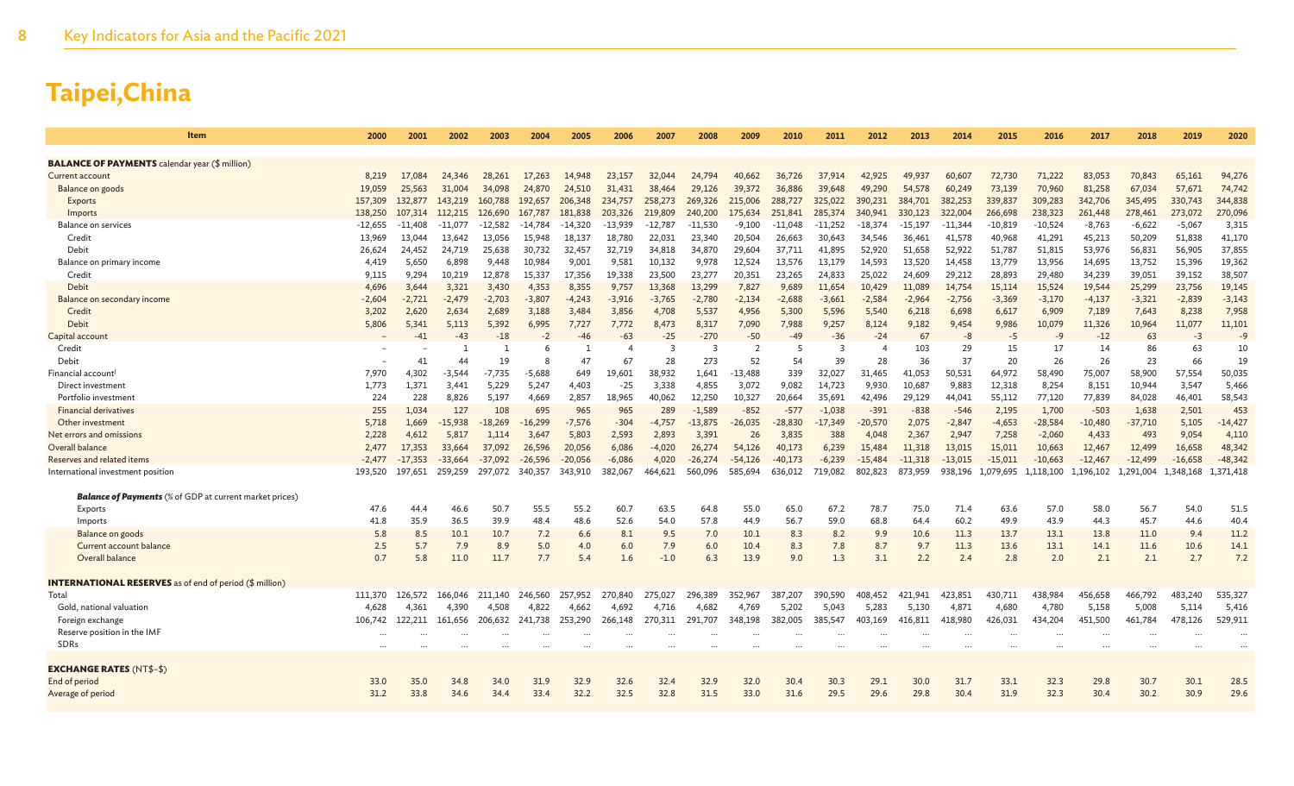| Item                                                           | 2000       | 2001       | 2002        | 2003        | 2004       | 2005       | 2006       | 2007       | 2008       | 2009         | 2010       | 2011       | 2012       | 2013        | 2014         | 2015         | 2016         | 2017         | 2018         | 2019        | 2020         |
|----------------------------------------------------------------|------------|------------|-------------|-------------|------------|------------|------------|------------|------------|--------------|------------|------------|------------|-------------|--------------|--------------|--------------|--------------|--------------|-------------|--------------|
| <b>BALANCE OF PAYMENTS</b> calendar year (\$ million)          |            |            |             |             |            |            |            |            |            |              |            |            |            |             |              |              |              |              |              |             |              |
| <b>Current account</b>                                         | 8,219      | 17.084     | 24,346      | 28,261      | 17,263     | 14.948     | 23,157     | 32,044     | 24,794     | 40,662       | 36,726     | 37,914     | 42,925     | 49,937      | 60,607       | 72,730       | 71,222       | 83,053       | 70,843       | 65,161      | 94,276       |
| Balance on goods                                               | 19,059     | 25,563     | 31,004      | 34,098      | 24,870     | 24,510     | 31,431     | 38,464     | 29,126     | 39,372       | 36,886     | 39,648     | 49,290     | 54,578      | 60,249       | 73,139       | 70,960       | 81,258       | 67,034       | 57,673      | 74,742       |
| Exports                                                        | 157,309    | 132,877    | 143,219     | 160,788     | 192,657    | 206,348    | 234,757    | 258,273    | 269,326    | 215,006      | 288,727    | 325,022    | 390,231    | 384,701     | 382,253      | 339,837      | 309,283      | 342,706      | 345,495      | 330,743     | 344,838      |
| Imports                                                        | 138,250    | 107,314    | 112,215     | 126,690     | 167,787    | 181,838    | 203,326    | 219,809    | 240,200    | 175,634      | 251,841    | 285,374    | 340,941    | 330,123     | 322,004      | 266,698      | 238,323      | 261,448      | 278,461      | 273,072     | 270,096      |
| Balance on services                                            | $-12,655$  | -11,408    | $-11,077$   | $-12,582$   | -14,784    | $-14,320$  | $-13,939$  | $-12,787$  | $-11,530$  | $-9,100$     | $-11,048$  | $-11,252$  | $-18,374$  | $-15,197$   | $-11,344$    | $-10,819$    | $-10,524$    | $-8,763$     | $-6,622$     | $-5,067$    | 3,315        |
| Credit                                                         | 13,969     | 13,044     | 13,642      | 13,056      | 15,948     | 18,137     | 18,780     | 22,031     | 23,340     | 20,504       | 26,663     | 30,643     | 34,546     | 36,461      | 41,578       | 40,968       | 41,291       | 45,213       | 50,209       | 51,838      | 41,170       |
| Debit                                                          | 26,624     | 24,452     | 24,719      | 25,638      | 30,732     | 32,457     | 32,719     | 34,818     | 34,870     | 29,604       | 37,711     | 41,895     | 52,920     | 51,658      | 52,922       | 51,787       | 51,815       | 53,976       | 56,831       | 56,905      | 37,855       |
| Balance on primary income                                      | 4,419      | 5,650      | 6,898       | 9,448       | 10,984     | 9,001      | 9,581      | 10,132     | 9,978      | 12,524       | 13,576     | 13,179     | 14,593     | 13,520      | 14,458       | 13,779       | 13,956       | 14,695       | 13,752       | 15,396      | 19,362       |
| Credit                                                         | 9,115      | 9,294      | 10,219      | 12,878      | 15,337     | 17,356     | 19,338     | 23,500     | 23,277     | 20,351       | 23,265     | 24,833     | 25,022     | 24,609      | 29,212       | 28,893       | 29,480       | 34,239       | 39,051       | 39,152      | 38,507       |
| Debit                                                          | 4,696      | 3,644      | 3,321       | 3,430       | 4,353      | 8,355      | 9,757      | 13,368     | 13,299     | 7,827        | 9,689      | 11,654     | 10,429     | 11,089      | 14,754       | 15,114       | 15,524       | 19,544       | 25,299       | 23,756      | 19,145       |
| Balance on secondary income                                    | $-2,604$   | $-2,721$   | $-2,479$    | $-2,703$    | $-3,807$   | $-4,243$   | $-3,916$   | $-3,765$   | $-2,780$   | $-2,134$     | $-2,688$   | $-3,661$   | $-2,584$   | $-2,964$    | $-2,756$     | $-3,369$     | $-3,170$     | $-4,137$     | $-3,321$     | $-2,839$    | $-3,143$     |
| Credit                                                         | 3,202      | 2,620      | 2,634       | 2,689       | 3,188      | 3,484      | 3,856      | 4,708      | 5,537      | 4,956        | 5,300      | 5,596      | 5,540      | 6,218       | 6,698        | 6,617        | 6,909        | 7,189        | 7,643        | 8,238       | 7,958        |
| Debit                                                          | 5,806      | 5,341      | 5,113       | 5,392       | 6,995      | 7,727      | 7,772      | 8,473      | 8,317      | 7,090        | 7,988      | 9,257      | 8,124      | 9,182       | 9,454        | 9,986        | 10,079       | 11,326       | 10,964       | 11,077      | 11,101       |
| Capital account                                                |            | $-41$      | $-43$       | $-18$       | $-2$       | $-46$      | $-63$      | $-25$      | $-270$     | $-50$        | $-49$      | $-36$      | $-24$      | 67          | $-8$         | -5           | $-9$         | $-12$        | 63           | $-3$        | $-9$         |
| Credit                                                         |            |            |             | -1          | 6          |            |            | 3          | 3          | 2            | -5         | 3          |            | 103         | 29           | 15           | 17           | 14           | 86           | 63          | 10           |
| Debit                                                          |            | 41         | 44          | 19          | 8          | 47         | 67         | 28         | 273        | 52           | 54         | 39         | 28         | 36          | 37           | 20           | 26           | 26           | 23           | 66          | 19           |
| Financial account <sup>j</sup>                                 | 7,970      | 4,302      | $-3,544$    | $-7,735$    | $-5,688$   | 649        | 19,601     | 38,932     | 1,641      | $-13,488$    | 339        | 32,027     | 31,465     | 41,053      | 50,531       | 64,972       | 58,490       | 75,007       | 58,900       | 57,554      | 50,035       |
| Direct investment                                              | 1,773      | 1,371      | 3,441       | 5,229       | 5,247      | 4,403      | $-25$      | 3,338      | 4,855      | 3,072        | 9,082      | 14,723     | 9,930      | 10,687      | 9,883        | 12,318       | 8,254        | 8,151        | 10,944       | 3,547       | 5,466        |
| Portfolio investment                                           | 224        | 228        | 8,826       | 5,197       | 4,669      | 2,857      | 18,965     | 40,062     | 12,250     | 10,327       | 20,664     | 35,691     | 42,496     | 29,129      | 44,041       | 55,112       | 77,120       | 77,839       | 84,028       | 46,401      | 58,543       |
| <b>Financial derivatives</b>                                   | 255        | 1,034      | 127         | 108         | 695        | 965        | 965        | 289        | $-1,589$   | $-852$       | $-577$     | $-1,038$   | $-391$     | $-838$      | $-546$       | 2,195        | 1,700        | $-503$       | 1,638        | 2,501       | 453          |
| Other investment                                               | 5,718      | 1,669      | $-15,938$   | $-18,269$   | $-16,299$  | $-7,576$   | $-304$     | $-4,757$   | $-13,875$  | $-26,035$    | $-28,830$  | $-17.349$  | $-20,570$  | 2,075       | $-2,847$     | $-4,653$     | $-28,584$    | $-10,480$    | -37,710      | 5,105       | $-14,427$    |
| Net errors and omissions                                       | 2,228      | 4,612      | 5,817       | 1,114       | 3,647      | 5,803      | 2,593      | 2,893      | 3,391      | 26           | 3,835      | 388        | 4,048      | 2,367       | 2,947        | 7,258        | $-2,060$     | 4,433        | 493          | 9,054       | 4,110        |
| Overall balance                                                | 2,477      | 17,353     | 33,664      | 37,092      | 26,596     | 20,056     | 6,086      | -4,020     | 26,274     | 54,126       | 40,173     | 6,239      | 15,484     | 11,318      | 13,015       | 15,011       | 10,663       | 12,467       | 12,499       | 16,658      | 48,342       |
| Reserves and related items                                     | $-2,477$   | $-17,353$  | -33,664     | $-37,092$   | $-26,596$  | $-20,056$  | $-6,086$   | 4,020      | $-26,274$  | -54,126      | $-40,173$  | $-6,239$   | -15,484    | $-11,318$   | $-13,015$    | $-15,011$    | $-10,663$    | $-12,467$    | $-12,499$    | $-16,658$   | $-48,342$    |
| International investment position                              | 193,520    | 197,651    | 259,259     | 297,072     | 340,357    | 343,910    | 382,067    | 464,621    | 560,096    | 585,694      | 636,012    | 719,082    | 802,823    | 873,959     | 938,196      | ,079,695     | 1,118,100    | 1,196,102    | 1,291,004    | 1,348,168   | 1,371,418    |
|                                                                |            |            |             |             |            |            |            |            |            |              |            |            |            |             |              |              |              |              |              |             |              |
| <b>Balance of Payments</b> (% of GDP at current market prices) |            |            |             |             |            |            |            |            | 64.8       |              |            |            | 78.7       |             |              |              |              | 58.0         |              |             |              |
| Exports                                                        | 47.6       | 44.4       | 46.6        | 50.7        | 55.5       | 55.2       | 60.7       | 63.5       |            | 55.0         | 65.0       | 67.2       |            | 75.0        | 71.4         | 63.6         | 57.0         |              | 56.7         | 54.0        | 51.5<br>40.4 |
| Imports                                                        | 41.8       | 35.9       | 36.5        | 39.9        | 48.4       | 48.6       | 52.6       | 54.0       | 57.8       | 44.9         | 56.7       | 59.0       | 68.8       | 64.4        | 60.2         | 49.9         | 43.9         | 44.3         | 45.7         | 44.6        | 11.2         |
| Balance on goods<br>Current account balance                    | 5.8<br>2.5 | 8.5<br>5.7 | 10.1<br>7.9 | 10.7<br>8.9 | 7.2<br>5.0 | 6.6<br>4.0 | 8.1<br>6.0 | 9.5<br>7.9 | 7.0<br>6.0 | 10.1<br>10.4 | 8.3<br>8.3 | 8.2<br>7.8 | 9.9<br>8.7 | 10.6<br>9.7 | 11.3<br>11.3 | 13.7<br>13.6 | 13.1<br>13.1 | 13.8<br>14.1 | 11.0<br>11.6 | 9.4<br>10.6 | 14.1         |
| Overall balance                                                | 0.7        | 5.8        | 11.0        | 11.7        | 7.7        | 5.4        | 1.6        | $-1.0$     | 6.3        | 13.9         | 9.0        | 1.3        | 3.1        | 2.2         | 2.4          | 2.8          | 2.0          | 2.1          | 2.1          | 2.7         | 7.2          |
|                                                                |            |            |             |             |            |            |            |            |            |              |            |            |            |             |              |              |              |              |              |             |              |
| <b>INTERNATIONAL RESERVES</b> as of end of period (\$ million) |            |            |             |             |            |            |            |            |            |              |            |            |            |             |              |              |              |              |              |             |              |
| Total                                                          | 111,370    | 126.572    | 166.046     | 211,140     | 246,560    | 257,952    | 270,840    | 275,027    | 296,389    | 352.967      | 387,207    | 390,590    | 408,452    | 421.941     | 423,851      | 430,711      | 438,984      | 456,658      | 466,792      | 483,240     | 535,327      |
| Gold, national valuation                                       | 4,628      | 4,361      | 4,390       | 4,508       | 4,822      | 4,662      | 4,692      | 4,716      | 4.682      | 4,769        | 5,202      | 5,043      | 5,283      | 5,130       | 4,87         | 4,680        | 4,780        | 5,158        | 5,008        | 5,114       | 5,416        |
| Foreign exchange                                               | 106,742    | 122,211    | 161,656     | 206,632     | 241,738    | 253,290    | 266,148    | 270,311    | 291,707    | 348,198      | 382,005    | 385,547    | 403,169    | 416,811     | 418,980      | 426,031      | 434,204      | 451,500      | 461,784      | 478,126     | 529,911      |
| Reserve position in the IMF                                    |            |            |             |             |            |            |            |            |            |              |            |            |            |             |              |              |              |              |              |             |              |
| <b>SDRs</b>                                                    |            |            |             |             |            |            |            |            |            |              |            |            |            |             |              |              |              |              |              |             |              |
|                                                                |            |            |             |             |            |            |            |            |            |              |            |            |            |             |              |              |              |              |              |             |              |
| <b>EXCHANGE RATES (NT\$-\$)</b>                                |            |            |             |             |            |            |            |            |            |              |            |            |            |             |              |              |              |              |              |             |              |
| End of period                                                  | 33.0       | 35.0       | 34.8        | 34.0        | 31.9       | 32.9       | 32.6       | 32.4       | 32.9       | 32.0         | 30.4       | 30.3       | 29.1       | 30.0        | 31.7         | 33.1         | 32.3         | 29.8         | 30.7         | 30.1        | 28.5         |
| Average of period                                              | 31.2       | 33.8       | 34.6        | 34.4        | 33.4       | 32.2       | 32.5       | 32.8       | 31.5       | 33.0         | 31.6       | 29.5       | 29.6       | 29.8        | 30.4         | 31.9         | 32.3         | 30.4         | 30.2         | 30.9        | 29.6         |
|                                                                |            |            |             |             |            |            |            |            |            |              |            |            |            |             |              |              |              |              |              |             |              |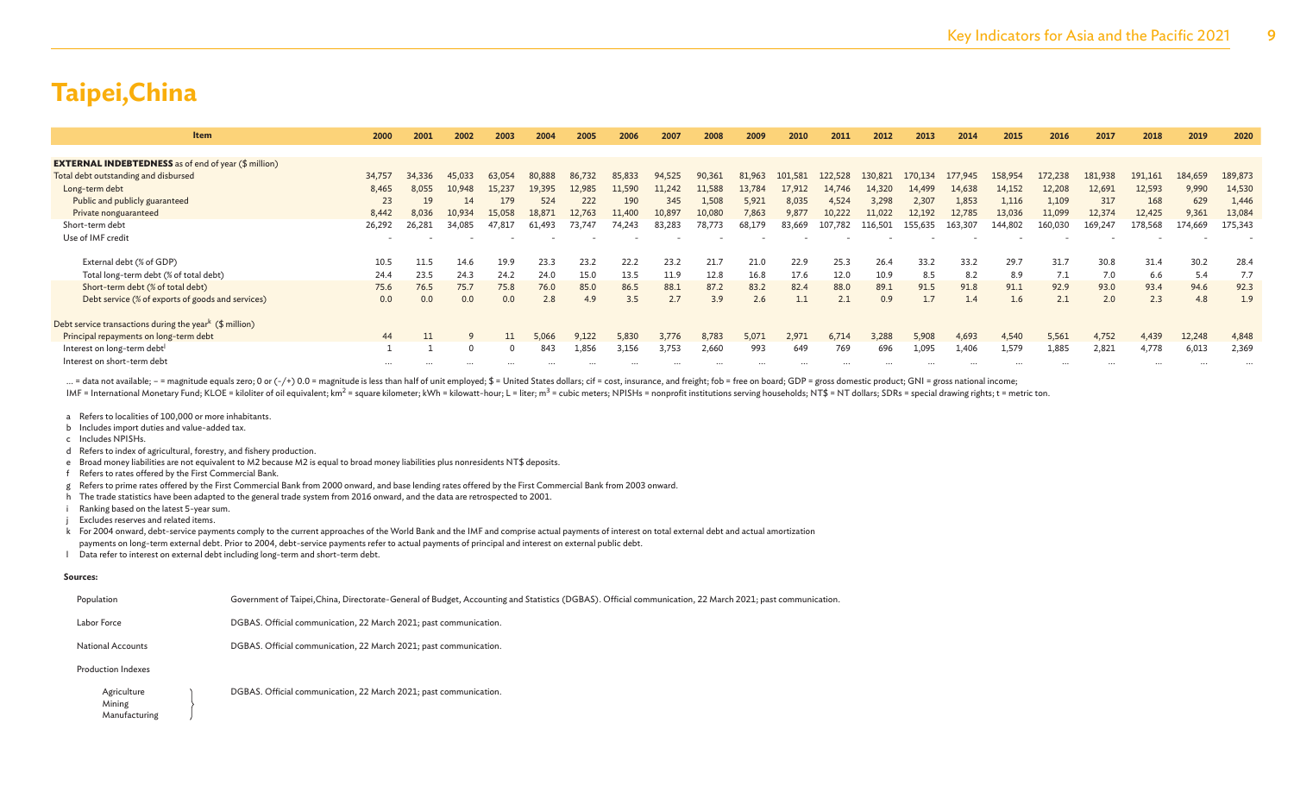| <b>Item</b>                                                         | 2000   | 2001   | 2002   | 2003   | 2004   | 2005   | 2006   | 2007   | 2008   | 2009   | 2010    | 2011    | 2012    | 2013    | 2014    | 2015    | 2016    | 2017    | 2018    | 2019    | 2020     |
|---------------------------------------------------------------------|--------|--------|--------|--------|--------|--------|--------|--------|--------|--------|---------|---------|---------|---------|---------|---------|---------|---------|---------|---------|----------|
|                                                                     |        |        |        |        |        |        |        |        |        |        |         |         |         |         |         |         |         |         |         |         |          |
| <b>EXTERNAL INDEBTEDNESS</b> as of end of year (\$ million)         |        |        |        |        |        |        |        |        |        |        |         |         |         |         |         |         |         |         |         |         |          |
| Total debt outstanding and disbursed                                | 34,757 | 34,336 | 45,033 | 63,054 | 80,888 | 86,732 | 85,833 | 94,525 | 90,361 | 81,963 | 101,581 | 122,528 | 130,821 | 170,134 | 177,945 | 158,954 | 172,238 | 181,938 | 191,161 | 184,659 | 189,873  |
| Long-term debt                                                      | 8,465  | 8,055  | 10,948 | 15.237 | 19,395 | 12.985 | 11,590 | 11,242 | 11,588 | 13,784 | 17,912  | 14,746  | 14.320  | 14,499  | 14,638  | 14,152  | 12,208  | 12,691  | 12,593  | 9,990   | 14,530   |
| Public and publicly guaranteed                                      | 23     | 19     |        | 179    | 524    | 222    | 190    | 345    | 1,508  | 5,921  | 8,035   | 4,524   | 3,298   | 2,307   | 1,853   | 1,116   | 1,109   | 317     | 168     | 629     | 1,446    |
| Private nonguaranteed                                               | 8,442  | 8.036  | 10,934 | 15.058 | 18,871 | 12,763 | 11,400 | 10,897 | 10,080 | 7,863  | 9,877   | 10,222  | 11,022  | 12,192  | 12,785  | 13,036  | 11,099  | 12,374  | 12,425  | 9,361   | 13,084   |
| Short-term debt                                                     | 26,292 | 26,281 | 34,085 | 47,817 | 61,493 | 73,747 | 74,243 | 83,283 | 78,773 | 68,179 | 83,669  | 107,782 | 116,501 | 155,635 | 163,307 | 144.802 | 160,030 | 169,247 | 178,568 | 174,669 | 175,343  |
| Use of IMF credit                                                   |        |        |        |        |        |        |        |        |        |        |         |         |         |         |         |         |         |         |         |         |          |
|                                                                     |        |        |        |        |        |        |        |        |        |        |         |         |         |         |         |         |         |         |         |         |          |
| External debt (% of GDP)                                            | 10.5   | 11.5   | 14.6   | 19.9   | 23.3   | 23.2   | 22.2   | 23.2   | 21.7   | 21.0   | 22.9    | 25.3    | 26.4    | 33.2    | 33.2    | 29.7    | 31.7    | 30.8    | 31.4    | 30.2    | 28.4     |
| Total long-term debt (% of total debt)                              | 24.4   | 23.5   | 24.3   | 24.2   | 24.0   | 15.0   | 13.5   | 11.9   | 12.8   | 16.8   | 17.6    | 12.0    | 10.9    | 8.5     | 8.2     | 8.9     | 7.1     | 7.0     | 6.6     | 5.4     | 7.7      |
| Short-term debt (% of total debt)                                   | 75.6   | 76.5   | 75.7   | 75.8   | 76.0   | 85.0   | 86.5   | 88.1   | 87.2   | 83.2   | 82.4    | 88.0    | 89.1    | 91.5    | 91.8    | 91.1    | 92.9    | 93.0    | 93.4    | 94.6    | 92.3     |
| Debt service (% of exports of goods and services)                   | 0.0    | 0.0    | 0.0    | 0.0    | 2.8    | 4.9    | 3.5    | 2.7    | 3.9    | 2.6    | 1.1     | 2.1     | 0.9     | 1.7     | 1.4     | 1.6     | 2.1     | 2.0     | 2.3     | 4.8     | 1.9      |
|                                                                     |        |        |        |        |        |        |        |        |        |        |         |         |         |         |         |         |         |         |         |         |          |
| Debt service transactions during the year <sup>k</sup> (\$ million) |        |        |        |        |        |        |        |        |        |        |         |         |         |         |         |         |         |         |         |         |          |
| Principal repayments on long-term debt                              | 44     |        |        | 11     | 5.066  | 9.122  | 5.830  | 3.776  | 8.783  | 5.071  | 2.971   | 6.714   | 3.288   | 5.908   | 4.693   | 4,540   | 5,561   | 4.752   | 4.439   | 12,248  | 4,848    |
| Interest on long-term debt                                          |        |        |        |        | 843    | ⊥,856  | 3,156  | 3,753  | 2,660  | 993    | 649     | 769     | 696     | 1,095   | 1,406   | 1,579   | 1,885   | 2,821   | 4,778   | 6,013   | 2,369    |
| Interest on short-term debt                                         |        |        |        |        |        |        |        |        |        |        |         |         |         |         |         |         |         |         |         |         | $\cdots$ |

... = data not available; - = magnitude equals zero; 0 or (-/+) 0.0 = magnitude is less than half of unit employed; \$ = United States dollars; cif = cost, insurance, and freight; fob = free on board; GDP = gross domestic p

IMF = International Monetary Fund; KLOE = kiloliter of oil equivalent; km<sup>2</sup> = square kilometer; kWh = kilowatt-hour; L = liter; m<sup>3</sup> = cubic meters; NPISHs = nonprofit institutions serving households; NT\$ = NT dollars; SD

a Refers to localities of 100,000 or more inhabitants.

b Includes import duties and value-added tax.

c Includes NPISHs.

d Refers to index of agricultural, forestry, and fishery production.

e Broad money liabilities are not equivalent to M2 because M2 is equal to broad money liabilities plus nonresidents NT\$ deposits.

f Refers to rates offered by the First Commercial Bank.

g Refers to prime rates offered by the First Commercial Bank from 2000 onward, and base lending rates offered by the First Commercial Bank from 2003 onward.

h The trade statistics have been adapted to the general trade system from 2016 onward, and the data are retrospected to 2001.

i Ranking based on the latest 5-year sum.

Excludes reserves and related items.

k For 2004 onward, debt-service payments comply to the current approaches of the World Bank and the IMF and comprise actual payments of interest on total external debt and actual amortization payments on long-term external debt. Prior to 2004, debt-service payments refer to actual payments of principal and interest on external public debt.

l Data refer to interest on external debt including long-term and short-term debt.

#### **Sources:**

| Population                | Government of Taipei, China, Directorate-General of Budget, Accounting and Statistics (DGBAS). Official communication, 22 March 2021; past communication. |
|---------------------------|-----------------------------------------------------------------------------------------------------------------------------------------------------------|
| Labor Force               | DGBAS. Official communication, 22 March 2021; past communication.                                                                                         |
| <b>National Accounts</b>  | DGBAS. Official communication, 22 March 2021; past communication.                                                                                         |
| <b>Production Indexes</b> |                                                                                                                                                           |
| Agriculture<br>$\cdots$   | DGBAS. Official communication, 22 March 2021; past communication.                                                                                         |

 Mining Manufacturing